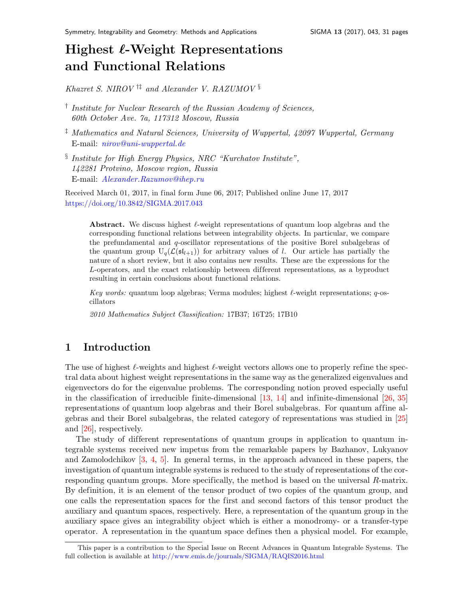# Highest  $\ell$ -Weight Representations and Functional Relation[s](#page-0-0)

Khazret S. NIROV  $\dagger$ <sup>†‡</sup> and Alexander V. RAZUMOV §

- <sup>†</sup> Institute for Nuclear Research of the Russian Academy of Sciences, 60th October Ave. 7a, 117312 Moscow, Russia
- <sup>‡</sup> Mathematics and Natural Sciences, University of Wuppertal, 42097 Wuppertal, Germany E-mail: [nirov@uni-wuppertal.de](mailto:nirov@uni-wuppertal.de)
- § Institute for High Energy Physics, NRC "Kurchatov Institute", 142281 Protvino, Moscow region, Russia E-mail: [Alexander.Razumov@ihep.ru](mailto:Alexander.Razumov@ihep.ru)

Received March 01, 2017, in final form June 06, 2017; Published online June 17, 2017 <https://doi.org/10.3842/SIGMA.2017.043>

Abstract. We discuss highest  $\ell$ -weight representations of quantum loop algebras and the corresponding functional relations between integrability objects. In particular, we compare the prefundamental and q-oscillator representations of the positive Borel subalgebras of the quantum group  $U_q(\mathcal{L}(\mathfrak{sl}_{l+1}))$  for arbitrary values of l. Our article has partially the nature of a short review, but it also contains new results. These are the expressions for the L-operators, and the exact relationship between dif ferent representations, as a byproduct resulting in certain conclusions about functional relations.

Key words: quantum loop algebras; Verma modules; highest  $\ell$ -weight representations; q-oscillators

2010 Mathematics Subject Classification: 17B37; 16T25; 17B10

### 1 Introduction

The use of highest  $\ell$ -weights and highest  $\ell$ -weight vectors allows one to properly refine the spectral data about highest weight representations in the same way as the generalized eigenvalues and eigenvectors do for the eigenvalue problems. The corresponding notion proved especially useful in the classification of irreducible finite-dimensional  $[13, 14]$  $[13, 14]$  and infinite-dimensional  $[26, 35]$  $[26, 35]$ representations of quantum loop algebras and their Borel subalgebras. For quantum affine algebras and their Borel subalgebras, the related category of representations was studied in [\[25\]](#page-30-2) and [\[26\]](#page-30-0), respectively.

The study of different representations of quantum groups in application to quantum integrable systems received new impetus from the remarkable papers by Bazhanov, Lukyanov and Zamolodchikov [\[3,](#page-29-2) [4,](#page-29-3) [5\]](#page-29-4). In general terms, in the approach advanced in these papers, the investigation of quantum integrable systems is reduced to the study of representations of the corresponding quantum groups. More specifically, the method is based on the universal R-matrix. By definition, it is an element of the tensor product of two copies of the quantum group, and one calls the representation spaces for the first and second factors of this tensor product the auxiliary and quantum spaces, respectively. Here, a representation of the quantum group in the auxiliary space gives an integrability object which is either a monodromy- or a transfer-type operator. A representation in the quantum space defines then a physical model. For example,

<span id="page-0-0"></span>This paper is a contribution to the Special Issue on Recent Advances in Quantum Integrable Systems. The full collection is available at <http://www.emis.de/journals/SIGMA/RAQIS2016.html>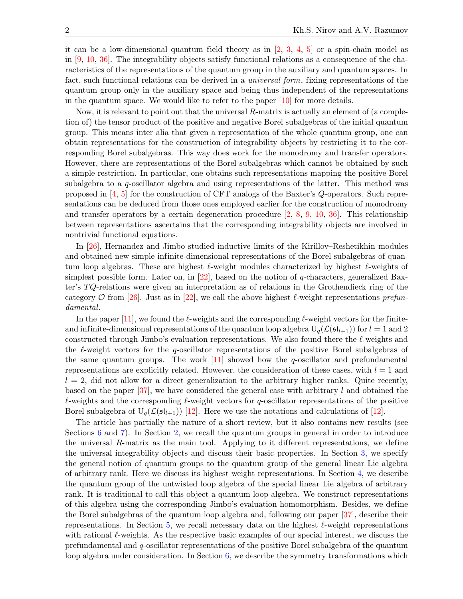it can be a low-dimensional quantum field theory as in  $[2, 3, 4, 5]$  $[2, 3, 4, 5]$  $[2, 3, 4, 5]$  $[2, 3, 4, 5]$  $[2, 3, 4, 5]$  $[2, 3, 4, 5]$  or a spin-chain model as in [\[9,](#page-29-6) [10,](#page-29-7) [36\]](#page-30-3). The integrability objects satisfy functional relations as a consequence of the characteristics of the representations of the quantum group in the auxiliary and quantum spaces. In fact, such functional relations can be derived in a *universal form*, fixing representations of the quantum group only in the auxiliary space and being thus independent of the representations in the quantum space. We would like to refer to the paper [\[10\]](#page-29-7) for more details.

Now, it is relevant to point out that the universal  $R$ -matrix is actually an element of (a completion of) the tensor product of the positive and negative Borel subalgebras of the initial quantum group. This means inter alia that given a representation of the whole quantum group, one can obtain representations for the construction of integrability objects by restricting it to the corresponding Borel subalgebras. This way does work for the monodromy and transfer operators. However, there are representations of the Borel subalgebras which cannot be obtained by such a simple restriction. In particular, one obtains such representations mapping the positive Borel subalgebra to a q-oscillator algebra and using representations of the latter. This method was proposed in [\[4,](#page-29-3) [5\]](#page-29-4) for the construction of CFT analogs of the Baxter's Q-operators. Such representations can be deduced from those ones employed earlier for the construction of monodromy and transfer operators by a certain degeneration procedure [\[2,](#page-29-5) [8,](#page-29-8) [9,](#page-29-6) [10,](#page-29-7) [36\]](#page-30-3). This relationship between representations ascertains that the corresponding integrability objects are involved in nontrivial functional equations.

In [\[26\]](#page-30-0), Hernandez and Jimbo studied inductive limits of the Kirillov–Reshetikhin modules and obtained new simple infinite-dimensional representations of the Borel subalgebras of quantum loop algebras. These are highest  $\ell$ -weight modules characterized by highest  $\ell$ -weights of simplest possible form. Later on, in [\[22\]](#page-30-4), based on the notion of  $q$ -characters, generalized Baxter's  $TQ$ -relations were given an interpretation as of relations in the Grothendieck ring of the category O from [\[26\]](#page-30-0). Just as in [\[22\]](#page-30-4), we call the above highest  $\ell$ -weight representations prefundamental.

In the paper [\[11\]](#page-29-9), we found the  $\ell$ -weights and the corresponding  $\ell$ -weight vectors for the finiteand infinite-dimensional representations of the quantum loop algebra  $U_q(\mathcal{L}(\mathfrak{sl}_{l+1}))$  for  $l = 1$  and 2 constructed through Jimbo's evaluation representations. We also found there the  $\ell$ -weights and the  $\ell$ -weight vectors for the q-oscillator representations of the positive Borel subalgebras of the same quantum groups. The work  $[11]$  showed how the q-oscillator and prefundamental representations are explicitly related. However, the consideration of these cases, with  $l = 1$  and  $l = 2$ , did not allow for a direct generalization to the arbitrary higher ranks. Quite recently, based on the paper  $[37]$ , we have considered the general case with arbitrary l and obtained the  $\ell$ -weights and the corresponding  $\ell$ -weight vectors for q-oscillator representations of the positive Borel subalgebra of  $U_q(\mathcal{L}(\mathfrak{sl}_{l+1}))$  [\[12\]](#page-29-10). Here we use the notations and calculations of [12].

The article has partially the nature of a short review, but it also contains new results (see Sections [6](#page-21-0) and [7\)](#page-26-0). In Section [2,](#page-2-0) we recall the quantum groups in general in order to introduce the universal R-matrix as the main tool. Applying to it different representations, we define the universal integrability objects and discuss their basic properties. In Section [3,](#page-4-0) we specify the general notion of quantum groups to the quantum group of the general linear Lie algebra of arbitrary rank. Here we discuss its highest weight representations. In Section [4,](#page-8-0) we describe the quantum group of the untwisted loop algebra of the special linear Lie algebra of arbitrary rank. It is traditional to call this object a quantum loop algebra. We construct representations of this algebra using the corresponding Jimbo's evaluation homomorphism. Besides, we define the Borel subalgebras of the quantum loop algebra and, following our paper [\[37\]](#page-30-5), describe their representations. In Section [5,](#page-17-0) we recall necessary data on the highest  $\ell$ -weight representations with rational  $\ell$ -weights. As the respective basic examples of our special interest, we discuss the prefundamental and q-oscillator representations of the positive Borel subalgebra of the quantum loop algebra under consideration. In Section  $6$ , we describe the symmetry transformations which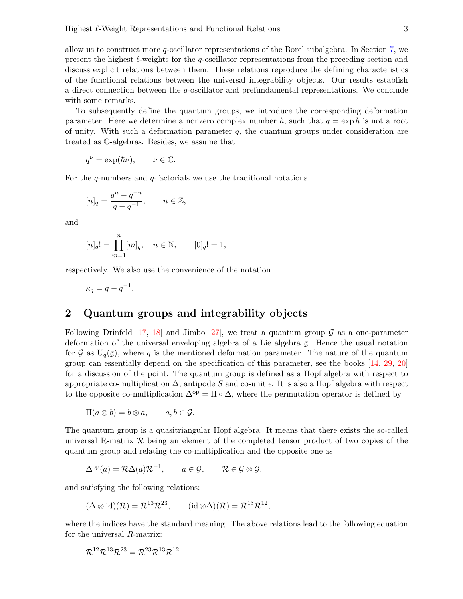allow us to construct more q-oscillator representations of the Borel subalgebra. In Section [7,](#page-26-0) we present the highest  $\ell$ -weights for the q-oscillator representations from the preceding section and discuss explicit relations between them. These relations reproduce the defining characteristics of the functional relations between the universal integrability objects. Our results establish a direct connection between the q-oscillator and prefundamental representations. We conclude with some remarks.

To subsequently define the quantum groups, we introduce the corresponding deformation parameter. Here we determine a nonzero complex number  $\hbar$ , such that  $q = \exp \hbar$  is not a root of unity. With such a deformation parameter  $q$ , the quantum groups under consideration are treated as C-algebras. Besides, we assume that

$$
q^{\nu} = \exp(\hbar \nu), \qquad \nu \in \mathbb{C}.
$$

For the  $q$ -numbers and  $q$ -factorials we use the traditional notations

$$
[n]_q = \frac{q^n - q^{-n}}{q - q^{-1}}, \qquad n \in \mathbb{Z},
$$

and

$$
[n]_q! = \prod_{m=1}^n [m]_q, \quad n \in \mathbb{N}, \qquad [0]_q! = 1,
$$

respectively. We also use the convenience of the notation

$$
\kappa_q = q - q^{-1}.
$$

## <span id="page-2-0"></span>2 Quantum groups and integrability objects

Following Drinfeld [\[17,](#page-30-6) [18\]](#page-30-7) and Jimbo [\[27\]](#page-30-8), we treat a quantum group  $\mathcal G$  as a one-parameter deformation of the universal enveloping algebra of a Lie algebra g. Hence the usual notation for G as  $U_q(\mathfrak{g})$ , where q is the mentioned deformation parameter. The nature of the quantum group can essentially depend on the specification of this parameter, see the books [\[14,](#page-29-1) [29,](#page-30-9) [20\]](#page-30-10) for a discussion of the point. The quantum group is defined as a Hopf algebra with respect to appropriate co-multiplication  $\Delta$ , antipode S and co-unit  $\epsilon$ . It is also a Hopf algebra with respect to the opposite co-multiplication  $\Delta^{op} = \Pi \circ \Delta$ , where the permutation operator is defined by

$$
\Pi(a\otimes b)=b\otimes a,\qquad a,b\in\mathcal{G}.
$$

The quantum group is a quasitriangular Hopf algebra. It means that there exists the so-called universal R-matrix  $R$  being an element of the completed tensor product of two copies of the quantum group and relating the co-multiplication and the opposite one as

$$
\Delta^{\mathrm{op}}(a) = \mathcal{R}\Delta(a)\mathcal{R}^{-1}, \qquad a \in \mathcal{G}, \qquad \mathcal{R} \in \mathcal{G} \otimes \mathcal{G},
$$

and satisfying the following relations:

$$
(\Delta \otimes \mathrm{id})(\mathcal{R}) = \mathcal{R}^{13} \mathcal{R}^{23}, \qquad (\mathrm{id} \otimes \Delta)(\mathcal{R}) = \mathcal{R}^{13} \mathcal{R}^{12},
$$

where the indices have the standard meaning. The above relations lead to the following equation for the universal R-matrix:

$$
\mathcal{R}^{12}\mathcal{R}^{13}\mathcal{R}^{23}=\mathcal{R}^{23}\mathcal{R}^{13}\mathcal{R}^{12}
$$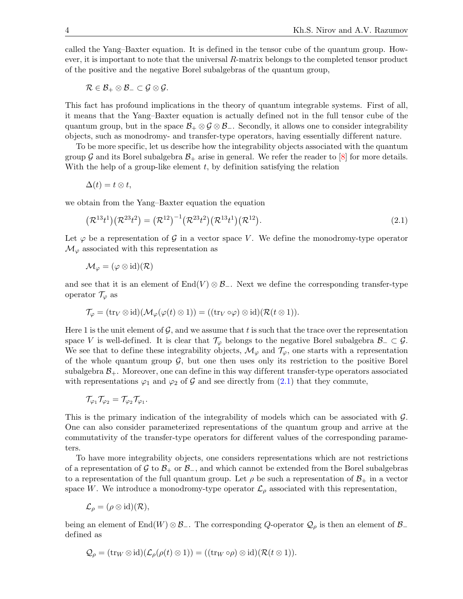called the Yang–Baxter equation. It is defined in the tensor cube of the quantum group. However, it is important to note that the universal  $R$ -matrix belongs to the completed tensor product of the positive and the negative Borel subalgebras of the quantum group,

$$
\mathcal{R}\in\mathcal{B}_+\otimes\mathcal{B}_-\subset\mathcal{G}\otimes\mathcal{G}.
$$

This fact has profound implications in the theory of quantum integrable systems. First of all, it means that the Yang–Baxter equation is actually defined not in the full tensor cube of the quantum group, but in the space  $\mathcal{B}_+ \otimes \mathcal{G} \otimes \mathcal{B}_-$ . Secondly, it allows one to consider integrability objects, such as monodromy- and transfer-type operators, having essentially different nature.

To be more specific, let us describe how the integrability objects associated with the quantum group G and its Borel subalgebra  $\mathcal{B}_+$  arise in general. We refer the reader to [\[8\]](#page-29-8) for more details. With the help of a group-like element  $t$ , by definition satisfying the relation

$$
\Delta(t)=t\otimes t,
$$

we obtain from the Yang–Baxter equation the equation

<span id="page-3-0"></span>
$$
(\mathcal{R}^{13}t^1)(\mathcal{R}^{23}t^2) = (\mathcal{R}^{12})^{-1}(\mathcal{R}^{23}t^2)(\mathcal{R}^{13}t^1)(\mathcal{R}^{12}).
$$
\n(2.1)

Let  $\varphi$  be a representation of  $\mathcal G$  in a vector space V. We define the monodromy-type operator  $\mathcal{M}_{\varphi}$  associated with this representation as

$$
\mathcal{M}_{\varphi}=(\varphi\otimes \mathrm{id})(\mathcal{R})
$$

and see that it is an element of  $\text{End}(V) \otimes \mathcal{B}_-$ . Next we define the corresponding transfer-type operator  $\mathcal{T}_{\varphi}$  as

$$
\mathcal{T}_{\varphi} = (\text{tr}_V \otimes \text{id})(\mathcal{M}_{\varphi}(\varphi(t) \otimes 1)) = ((\text{tr}_V \circ \varphi) \otimes \text{id})(\mathcal{R}(t \otimes 1)).
$$

Here 1 is the unit element of  $\mathcal{G}$ , and we assume that t is such that the trace over the representation space V is well-defined. It is clear that  $\mathcal{T}_{\varphi}$  belongs to the negative Borel subalgebra  $\mathcal{B}_-\subset\mathcal{G}$ . We see that to define these integrability objects,  $\mathcal{M}_{\varphi}$  and  $\mathcal{T}_{\varphi}$ , one starts with a representation of the whole quantum group  $\mathcal{G}$ , but one then uses only its restriction to the positive Borel subalgebra  $\mathcal{B}_+$ . Moreover, one can define in this way different transfer-type operators associated with representations  $\varphi_1$  and  $\varphi_2$  of G and see directly from [\(2.1\)](#page-3-0) that they commute,

$$
\mathcal{T}_{\varphi_1}\mathcal{T}_{\varphi_2}=\mathcal{T}_{\varphi_2}\mathcal{T}_{\varphi_1}.
$$

This is the primary indication of the integrability of models which can be associated with G. One can also consider parameterized representations of the quantum group and arrive at the commutativity of the transfer-type operators for dif ferent values of the corresponding parameters.

To have more integrability objects, one considers representations which are not restrictions of a representation of G to  $\mathcal{B}_+$  or  $\mathcal{B}_-$ , and which cannot be extended from the Borel subalgebras to a representation of the full quantum group. Let  $\rho$  be such a representation of  $\mathcal{B}_+$  in a vector space W. We introduce a monodromy-type operator  $\mathcal{L}_{\rho}$  associated with this representation,

$$
\mathcal{L}_{\rho} = (\rho \otimes id)(\mathcal{R}),
$$

being an element of End(W) ⊗ B−. The corresponding Q-operator  $\mathcal{Q}_{\rho}$  is then an element of B− defined as

$$
\mathcal{Q}_{\rho} = (\text{tr}_W \otimes \text{id})(\mathcal{L}_{\rho}(\rho(t) \otimes 1)) = ((\text{tr}_W \circ \rho) \otimes \text{id})(\mathcal{R}(t \otimes 1)).
$$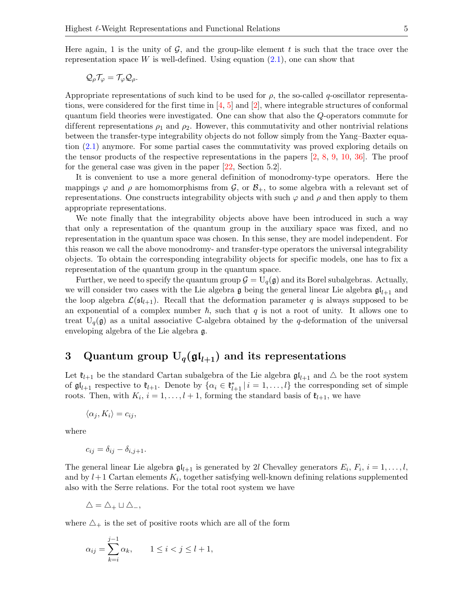$$
\mathcal{Q}_{\rho}\mathcal{T}_{\varphi}=\mathcal{T}_{\varphi}\mathcal{Q}_{\rho}.
$$

Appropriate representations of such kind to be used for  $\rho$ , the so-called q-oscillator representations, were considered for the first time in  $[4, 5]$  $[4, 5]$  and  $[2]$ , where integrable structures of conformal quantum field theories were investigated. One can show that also the Q-operators commute for different representations  $\rho_1$  and  $\rho_2$ . However, this commutativity and other nontrivial relations between the transfer-type integrability objects do not follow simply from the Yang–Baxter equation [\(2.1\)](#page-3-0) anymore. For some partial cases the commutativity was proved exploring details on the tensor products of the respective representations in the papers [\[2,](#page-29-5) [8,](#page-29-8) [9,](#page-29-6) [10,](#page-29-7) [36\]](#page-30-3). The proof for the general case was given in the paper [\[22,](#page-30-4) Section 5.2].

It is convenient to use a more general definition of monodromy-type operators. Here the mappings  $\varphi$  and  $\rho$  are homomorphisms from  $\mathcal{G}$ , or  $\mathcal{B}_+$ , to some algebra with a relevant set of representations. One constructs integrability objects with such  $\varphi$  and  $\rho$  and then apply to them appropriate representations.

We note finally that the integrability objects above have been introduced in such a way that only a representation of the quantum group in the auxiliary space was fixed, and no representation in the quantum space was chosen. In this sense, they are model independent. For this reason we call the above monodromy- and transfer-type operators the universal integrability objects. To obtain the corresponding integrability objects for specific models, one has to fix a representation of the quantum group in the quantum space.

Further, we need to specify the quantum group  $\mathcal{G} = U_q(\mathfrak{g})$  and its Borel subalgebras. Actually, we will consider two cases with the Lie algebra g being the general linear Lie algebra  $\mathfrak{gl}_{l+1}$  and the loop algebra  $\mathcal{L}(\mathfrak{sl}_{l+1})$ . Recall that the deformation parameter q is always supposed to be an exponential of a complex number  $\hbar$ , such that q is not a root of unity. It allows one to treat  $U_q(\mathfrak{g})$  as a unital associative C-algebra obtained by the q-deformation of the universal enveloping algebra of the Lie algebra g.

# <span id="page-4-0"></span>3 Quantum group  $U_q(\mathfrak{gl}_{l+1})$  and its representations

Let  $\mathfrak{k}_{l+1}$  be the standard Cartan subalgebra of the Lie algebra  $\mathfrak{gl}_{l+1}$  and  $\Delta$  be the root system of  $\mathfrak{gl}_{l+1}$  respective to  $\mathfrak{k}_{l+1}$ . Denote by  $\{\alpha_i \in \mathfrak{k}_{l+1}^* | i = 1, \ldots, l\}$  the corresponding set of simple roots. Then, with  $K_i$ ,  $i = 1, ..., l + 1$ , forming the standard basis of  $\mathfrak{k}_{l+1}$ , we have

$$
\langle \alpha_j, K_i \rangle = c_{ij},
$$

where

$$
c_{ij} = \delta_{ij} - \delta_{i,j+1}.
$$

The general linear Lie algebra  $\mathfrak{gl}_{l+1}$  is generated by 2l Chevalley generators  $E_i$ ,  $F_i$ ,  $i = 1, \ldots, l$ , and by  $l+1$  Cartan elements  $K_i$ , together satisfying well-known defining relations supplemented also with the Serre relations. For the total root system we have

$$
\triangle = \triangle_+ \sqcup \triangle_-,
$$

where  $\Delta_{+}$  is the set of positive roots which are all of the form

$$
\alpha_{ij} = \sum_{k=i}^{j-1} \alpha_k, \qquad 1 \le i < j \le l+1,
$$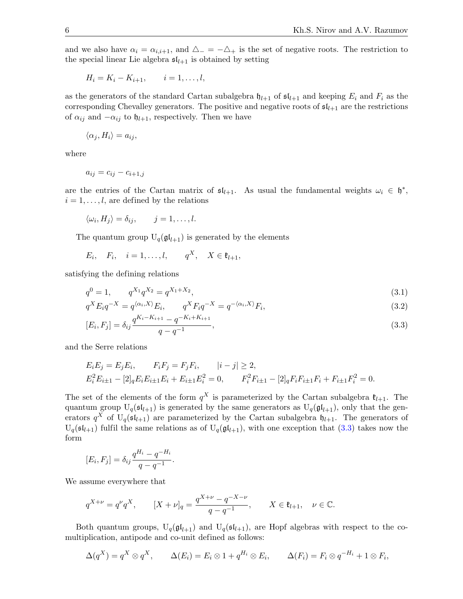and we also have  $\alpha_i = \alpha_{i,i+1}$ , and  $\Delta_- = -\Delta_+$  is the set of negative roots. The restriction to the special linear Lie algebra  $\mathfrak{sl}_{l+1}$  is obtained by setting

$$
H_i = K_i - K_{i+1}, \qquad i = 1, \ldots, l,
$$

as the generators of the standard Cartan subalgebra  $\mathfrak{h}_{l+1}$  of  $\mathfrak{sl}_{l+1}$  and keeping  $E_i$  and  $F_i$  as the corresponding Chevalley generators. The positive and negative roots of  $\mathfrak{sl}_{l+1}$  are the restrictions of  $\alpha_{ij}$  and  $-\alpha_{ij}$  to  $\mathfrak{h}_{l+1}$ , respectively. Then we have

$$
\langle \alpha_j, H_i \rangle = a_{ij},
$$

where

$$
a_{ij} = c_{ij} - c_{i+1,j}
$$

are the entries of the Cartan matrix of  $\mathfrak{sl}_{l+1}$ . As usual the fundamental weights  $\omega_i \in \mathfrak{h}^*$ ,  $i = 1, \ldots, l$ , are defined by the relations

$$
\langle \omega_i, H_j \rangle = \delta_{ij}, \qquad j = 1, \dots, l.
$$

The quantum group  $U_q(\mathfrak{gl}_{l+1})$  is generated by the elements

 $E_i, \quad F_i, \quad i=1,\ldots,l, \qquad q^X, \quad X \in \mathfrak{k}_{l+1},$ 

satisfying the defining relations

$$
q^0 = 1, \qquad q^{X_1} q^{X_2} = q^{X_1 + X_2}, \tag{3.1}
$$

$$
q^X E_i q^{-X} = q^{\langle \alpha_i, X \rangle} E_i, \qquad q^X F_i q^{-X} = q^{-\langle \alpha_i, X \rangle} F_i,
$$
\n(3.2)

<span id="page-5-0"></span>
$$
[E_i, F_j] = \delta_{ij} \frac{q^{K_i - K_{i+1}} - q^{-K_i + K_{i+1}}}{q - q^{-1}},
$$
\n(3.3)

and the Serre relations

$$
E_i E_j = E_j E_i, \t F_i F_j = F_j F_i, \t |i - j| \ge 2,
$$
  
\n
$$
E_i^2 E_{i \pm 1} - [2]_q E_i E_{i \pm 1} E_i + E_{i \pm 1} E_i^2 = 0, \t F_i^2 F_{i \pm 1} - [2]_q F_i F_{i \pm 1} F_i + F_{i \pm 1} F_i^2 = 0.
$$

The set of the elements of the form  $q^X$  is parameterized by the Cartan subalgebra  $\mathfrak{k}_{l+1}$ . The quantum group  $U_q(\mathfrak{sl}_{l+1})$  is generated by the same generators as  $U_q(\mathfrak{gl}_{l+1})$ , only that the generators  $q^X$  of  $U_q(\mathfrak{sl}_{l+1})$  are parameterized by the Cartan subalgebra  $\mathfrak{h}_{l+1}$ . The generators of  $U_q(\mathfrak{sl}_{l+1})$  fulfil the same relations as of  $U_q(\mathfrak{gl}_{l+1})$ , with one exception that  $(3.3)$  takes now the form

$$
[E_i, F_j] = \delta_{ij} \frac{q^{H_i} - q^{-H_i}}{q - q^{-1}}.
$$

We assume everywhere that

$$
q^{X+\nu} = q^{\nu}q^X
$$
,  $[X + \nu]_q = \frac{q^{X+\nu} - q^{-X-\nu}}{q - q^{-1}}$ ,  $X \in \mathfrak{k}_{l+1}$ ,  $\nu \in \mathbb{C}$ .

Both quantum groups,  $U_q(\mathfrak{gl}_{l+1})$  and  $U_q(\mathfrak{sl}_{l+1})$ , are Hopf algebras with respect to the comultiplication, antipode and co-unit defined as follows:

$$
\Delta(q^X) = q^X \otimes q^X, \qquad \Delta(E_i) = E_i \otimes 1 + q^{H_i} \otimes E_i, \qquad \Delta(F_i) = F_i \otimes q^{-H_i} + 1 \otimes F_i,
$$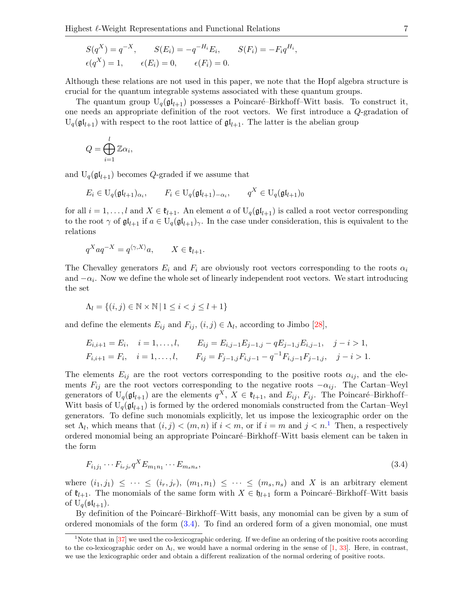$$
S(q^X) = q^{-X}, \qquad S(E_i) = -q^{-H_i} E_i, \qquad S(F_i) = -F_i q^{H_i}
$$
  

$$
\epsilon(q^X) = 1, \qquad \epsilon(E_i) = 0, \qquad \epsilon(F_i) = 0.
$$

Although these relations are not used in this paper, we note that the Hopf algebra structure is crucial for the quantum integrable systems associated with these quantum groups.

,

The quantum group  $U_q(\mathfrak{gl}_{l+1})$  possesses a Poincaré–Birkhoff–Witt basis. To construct it, one needs an appropriate definition of the root vectors. We first introduce a Q-gradation of  $U_q(\mathfrak{gl}_{l+1})$  with respect to the root lattice of  $\mathfrak{gl}_{l+1}$ . The latter is the abelian group

$$
Q=\bigoplus_{i=1}^l\mathbb{Z}\alpha_i,
$$

and  $U_q(\mathfrak{gl}_{l+1})$  becomes Q-graded if we assume that

$$
E_i \in U_q(\mathfrak{gl}_{l+1})_{\alpha_i}, \qquad F_i \in U_q(\mathfrak{gl}_{l+1})_{-\alpha_i}, \qquad q^X \in U_q(\mathfrak{gl}_{l+1})_0
$$

for all  $i = 1, ..., l$  and  $X \in \mathfrak{k}_{l+1}$ . An element a of  $U_q(\mathfrak{gl}_{l+1})$  is called a root vector corresponding to the root  $\gamma$  of  $\mathfrak{gl}_{l+1}$  if  $a \in U_q(\mathfrak{gl}_{l+1})_\gamma$ . In the case under consideration, this is equivalent to the relations

$$
q^X a q^{-X} = q^{\langle \gamma, X \rangle} a, \qquad X \in \mathfrak{k}_{l+1}.
$$

The Chevalley generators  $E_i$  and  $F_i$  are obviously root vectors corresponding to the roots  $\alpha_i$ and  $-\alpha_i$ . Now we define the whole set of linearly independent root vectors. We start introducing the set

$$
\Lambda_l = \{(i, j) \in \mathbb{N} \times \mathbb{N} \mid 1 \le i < j \le l+1\}
$$

and define the elements  $E_{ij}$  and  $F_{ij}$ ,  $(i, j) \in \Lambda_l$ , according to Jimbo [\[28\]](#page-30-11),

$$
E_{i,i+1} = E_i, \quad i = 1, ..., l, \qquad E_{ij} = E_{i,j-1}E_{j-1,j} - qE_{j-1,j}E_{i,j-1}, \quad j - i > 1,
$$
  
\n
$$
F_{i,i+1} = F_i, \quad i = 1, ..., l, \qquad F_{ij} = F_{j-1,j}F_{i,j-1} - q^{-1}F_{i,j-1}F_{j-1,j}, \quad j - i > 1.
$$

The elements  $E_{ij}$  are the root vectors corresponding to the positive roots  $\alpha_{ij}$ , and the elements  $F_{ij}$  are the root vectors corresponding to the negative roots  $-\alpha_{ij}$ . The Cartan–Weyl generators of  $U_q(\mathfrak{gl}_{l+1})$  are the elements  $q^X$ ,  $X \in \mathfrak{k}_{l+1}$ , and  $E_{ij}$ ,  $F_{ij}$ . The Poincaré–Birkhoff– Witt basis of  $U_q(\mathfrak{gl}_{l+1})$  is formed by the ordered monomials constructed from the Cartan–Weyl generators. To define such monomials explicitly, let us impose the lexicographic order on the set  $\Lambda_l$ , which means that  $(i, j) < (m, n)$  if  $i < m$ , or if  $i = m$  and  $j < n$ .<sup>[1](#page-6-0)</sup> Then, a respectively ordered monomial being an appropriate Poincaré–Birkhoff–Witt basis element can be taken in the form

<span id="page-6-1"></span>
$$
F_{i_1j_1}\cdots F_{i_rj_r}q^X E_{m_1n_1}\cdots E_{m_sn_s},\tag{3.4}
$$

where  $(i_1, j_1) \leq \cdots \leq (i_r, j_r)$ ,  $(m_1, n_1) \leq \cdots \leq (m_s, n_s)$  and X is an arbitrary element of  $\mathfrak{k}_{l+1}$ . The monomials of the same form with  $X \in \mathfrak{h}_{l+1}$  form a Poincaré–Birkhoff–Witt basis of  $U_q(\mathfrak{sl}_{l+1})$ .

By definition of the Poincaré–Birkhoff–Witt basis, any monomial can be given by a sum of ordered monomials of the form [\(3.4\)](#page-6-1). To find an ordered form of a given monomial, one must

<span id="page-6-0"></span><sup>&</sup>lt;sup>1</sup>Note that in  $\left[37\right]$  we used the co-lexicographic ordering. If we define an ordering of the positive roots according to the co-lexicographic order on  $\Lambda_l$ , we would have a normal ordering in the sense of [\[1,](#page-29-11) [33\]](#page-30-12). Here, in contrast, we use the lexicographic order and obtain a different realization of the normal ordering of positive roots.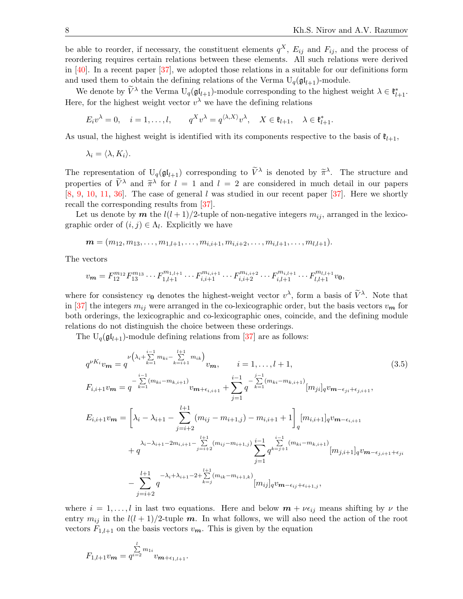be able to reorder, if necessary, the constituent elements  $q^X$ ,  $E_{ij}$  and  $F_{ij}$ , and the process of reordering requires certain relations between these elements. All such relations were derived in [\[40\]](#page-30-13). In a recent paper [\[37\]](#page-30-5), we adopted those relations in a suitable for our definitions form and used them to obtain the defining relations of the Verma  $U_q(\mathfrak{gl}_{l+1})$ -module.

We denote by  $\widetilde{V}^{\lambda}$  the Verma  $U_q(\mathfrak{gl}_{l+1})$ -module corresponding to the highest weight  $\lambda \in \mathfrak{k}_{l+1}^*$ . Here, for the highest weight vector  $v^{\lambda}$  we have the defining relations

$$
E_i v^{\lambda} = 0, \quad i = 1, \dots, l, \qquad q^X v^{\lambda} = q^{\langle \lambda, X \rangle} v^{\lambda}, \quad X \in \mathfrak{k}_{l+1}, \quad \lambda \in \mathfrak{k}_{l+1}^*.
$$

As usual, the highest weight is identified with its components respective to the basis of  $\mathfrak{k}_{l+1}$ ,

$$
\lambda_i = \langle \lambda, K_i \rangle.
$$

The representation of  $U_q(\mathfrak{gl}_{l+1})$  corresponding to  $\tilde{V}^{\lambda}$  is denoted by  $\tilde{\pi}^{\lambda}$ . The structure and properties of  $\tilde{V}^{\lambda}$  and  $\tilde{\pi}^{\lambda}$  for  $l = 1$  and  $l = 2$  are considered in much detail in our papers  $[8, 9, 10, 11, 36]$  $[8, 9, 10, 11, 36]$  $[8, 9, 10, 11, 36]$  $[8, 9, 10, 11, 36]$  $[8, 9, 10, 11, 36]$  $[8, 9, 10, 11, 36]$  $[8, 9, 10, 11, 36]$  $[8, 9, 10, 11, 36]$  $[8, 9, 10, 11, 36]$ . The case of general l was studied in our recent paper  $[37]$ . Here we shortly recall the corresponding results from [\[37\]](#page-30-5).

Let us denote by **m** the  $l(l+1)/2$ -tuple of non-negative integers  $m_{ij}$ , arranged in the lexicographic order of  $(i, j) \in \Lambda_l$ . Explicitly we have

 $\mathbf{m} = (m_{12}, m_{13}, \ldots, m_{1,l+1}, \ldots, m_{i,i+1}, m_{i,i+2}, \ldots, m_{i,l+1}, \ldots, m_{l,l+1}).$ 

The vectors

$$
v_{m} = F_{12}^{m_{12}} F_{13}^{m_{13}} \cdots F_{1,l+1}^{m_{1,l+1}} \cdots F_{i,i+1}^{m_{i,i+1}} \cdots F_{i,i+2}^{m_{i,i+2}} \cdots F_{i,l+1}^{m_{i,l+1}} \cdots F_{l,l+1}^{m_{l,l+1}} v_{0},
$$

where for consistency  $v_0$  denotes the highest-weight vector  $v^{\lambda}$ , form a basis of  $\tilde{V}^{\lambda}$ . Note that in [\[37\]](#page-30-5) the integers  $m_{ij}$  were arranged in the co-lexicographic order, but the basis vectors  $v_m$  for both orderings, the lexicographic and co-lexicographic ones, coincide, and the defining module relations do not distinguish the choice between these orderings.

The  $U_q(\mathfrak{gl}_{l+1})$ -module defining relations from [\[37\]](#page-30-5) are as follows:

<span id="page-7-0"></span>
$$
q^{\nu K_i} v_{\boldsymbol{m}} = q^{\nu \left(\lambda_i + \sum_{k=1}^{i-1} m_{ki} - \sum_{k=i+1}^{l+1} m_{ik}\right)} v_{\boldsymbol{m}}, \qquad i = 1, ..., l+1,
$$
\n
$$
F_{i,i+1} v_{\boldsymbol{m}} = q^{-\sum_{k=1}^{i-1} (m_{ki} - m_{k,i+1})} v_{\boldsymbol{m} + \epsilon_{i,i+1}} + \sum_{j=1}^{i-1} q^{-\sum_{k=1}^{j-1} (m_{ki} - m_{k,i+1})} [m_{ji}]_q v_{\boldsymbol{m} - \epsilon_{ji} + \epsilon_{j,i+1}},
$$
\n
$$
E_{i,i+1} v_{\boldsymbol{m}} = \left[\lambda_i - \lambda_{i+1} - \sum_{j=i+2}^{l+1} (m_{ij} - m_{i+1,j}) - m_{i,i+1} + 1\right]_q [m_{i,i+1}]_q v_{\boldsymbol{m} - \epsilon_{i,i+1}}
$$
\n
$$
+ q^{\lambda_i - \lambda_{i+1} - 2m_{i,i+1} - \sum_{j=i+2}^{l+1} (m_{ij} - m_{i+1,j})} \sum_{j=1}^{i-1} q^{\sum_{k=j+1}^{i-1} (m_{ki} - m_{k,i+1})} [m_{j,i+1}]_q v_{\boldsymbol{m} - \epsilon_{j,i+1} + \epsilon_{ji}}
$$
\n
$$
- \sum_{j=i+2}^{l+1} q^{-\lambda_i + \lambda_{i+1} - 2 + \sum_{k=j}^{l+1} (m_{ik} - m_{i+1,k})} [m_{ij}]_q v_{\boldsymbol{m} - \epsilon_{ij} + \epsilon_{i+1,j}},
$$
\n
$$
(3.5)
$$

where  $i = 1, \ldots, l$  in last two equations. Here and below  $m + \nu \epsilon_{ij}$  means shifting by  $\nu$  the entry  $m_{ij}$  in the  $l(l + 1)/2$ -tuple m. In what follows, we will also need the action of the root vectors  $F_{1,l+1}$  on the basis vectors  $v_m$ . This is given by the equation

$$
F_{1,l+1}v_{m} = q^{\sum_{i=2}^{l}m_{1i}}v_{m+\epsilon_{1,l+1}}.
$$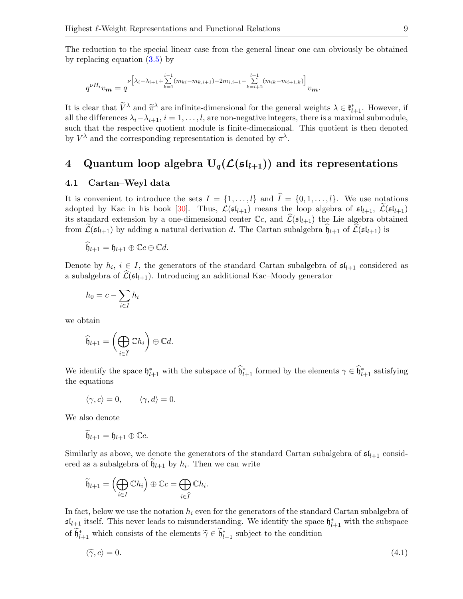The reduction to the special linear case from the general linear one can obviously be obtained by replacing equation [\(3.5\)](#page-7-0) by

$$
q^{\nu H_i} v_{\boldsymbol{m}} = q^{\nu \left[ \lambda_i - \lambda_{i+1} + \sum\limits_{k=1}^{i-1} (m_{ki} - m_{k,i+1}) - 2m_{i,i+1} - \sum\limits_{k=i+2}^{l+1} (m_{ik} - m_{i+1,k}) \right]} v_{\boldsymbol{m}}.
$$

It is clear that  $\tilde{V}^{\lambda}$  and  $\tilde{\pi}^{\lambda}$  are infinite-dimensional for the general weights  $\lambda \in \mathfrak{k}_{l+1}^*$ . However, if all the differences  $\lambda_i-\lambda_{i+1}, i=1,\ldots,l$ , are non-negative integers, there is a maximal submodule, such that the respective quotient module is finite-dimensional. This quotient is then denoted by  $V^{\lambda}$  and the corresponding representation is denoted by  $\pi^{\lambda}$ .

# <span id="page-8-0"></span>4 Quantum loop algebra  $U_q(\mathcal{L}(\mathfrak{sl}_{l+1}))$  and its representations

#### <span id="page-8-2"></span>4.1 Cartan–Weyl data

It is convenient to introduce the sets  $I = \{1, \ldots, l\}$  and  $\hat{I} = \{0, 1, \ldots, l\}$ . We use notations adopted by Kac in his book [\[30\]](#page-30-14). Thus,  $\mathcal{L}(\mathfrak{sl}_{l+1})$  means the loop algebra of  $\mathfrak{sl}_{l+1}$ ,  $\widetilde{\mathcal{L}}(\mathfrak{sl}_{l+1})$ its standard extension by a one-dimensional center  $\mathbb{C}c$ , and  $\widehat{\mathcal{L}}(\mathfrak{sl}_{l+1})$  the Lie algebra obtained from  $\mathcal{L}(\mathfrak{sl}_{l+1})$  by adding a natural derivation d. The Cartan subalgebra  $\mathfrak{h}_{l+1}$  of  $\mathcal{L}(\mathfrak{sl}_{l+1})$  is

$$
\widehat{\mathfrak{h}}_{l+1} = \mathfrak{h}_{l+1} \oplus \mathbb{C}c \oplus \mathbb{C}d.
$$

Denote by  $h_i, i \in I$ , the generators of the standard Cartan subalgebra of  $\mathfrak{sl}_{l+1}$  considered as a subalgebra of  $\mathcal{L}(\mathfrak{sl}_{l+1})$ . Introducing an additional Kac–Moody generator

$$
h_0 = c - \sum_{i \in I} h_i
$$

we obtain

$$
\widehat{\mathfrak{h}}_{l+1} = \left(\bigoplus_{i \in \widehat{I}} \mathbb{C}h_i\right) \oplus \mathbb{C}d.
$$

We identify the space  $\mathfrak{h}_{l+1}^*$  with the subspace of  $\widehat{\mathfrak{h}}_{l+1}^*$  formed by the elements  $\gamma \in \widehat{\mathfrak{h}}_{l+1}^*$  satisfying the equations

$$
\langle \gamma, c \rangle = 0, \qquad \langle \gamma, d \rangle = 0.
$$

We also denote

$$
\widetilde{\mathfrak{h}}_{l+1}=\mathfrak{h}_{l+1}\oplus \mathbb{C}c.
$$

Similarly as above, we denote the generators of the standard Cartan subalgebra of  $\mathfrak{sl}_{l+1}$  considered as a subalgebra of  $\mathfrak{h}_{l+1}$  by  $h_i$ . Then we can write

$$
\widetilde{\mathfrak{h}}_{l+1} = \left(\bigoplus_{i \in I} \mathbb{C} h_i\right) \oplus \mathbb{C} c = \bigoplus_{i \in \widehat{I}} \mathbb{C} h_i.
$$

In fact, below we use the notation  $h_i$  even for the generators of the standard Cartan subalgebra of  $\mathfrak{sl}_{l+1}$  itself. This never leads to misunderstanding. We identify the space  $\mathfrak{h}_{l+1}^*$  with the subspace of  $\widetilde{\mathfrak{h}}_{l+1}^*$  which consists of the elements  $\widetilde{\gamma} \in \widetilde{\mathfrak{h}}_{l+1}^*$  subject to the condition

<span id="page-8-1"></span>
$$
\langle \tilde{\gamma}, c \rangle = 0. \tag{4.1}
$$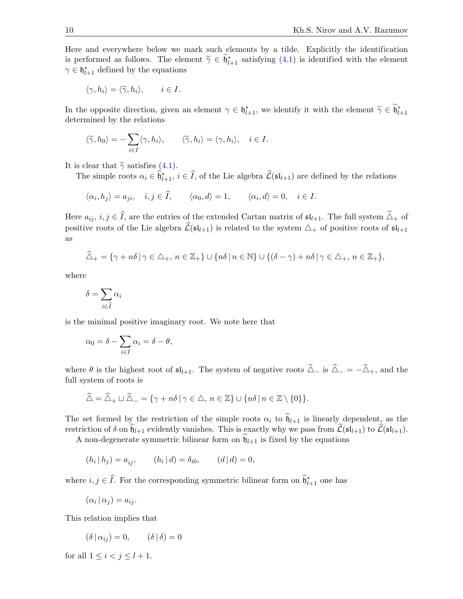Here and everywhere below we mark such elements by a tilde. Explicitly the identification is performed as follows. The element  $\tilde{\gamma} \in \tilde{\mathfrak{h}}_{l+1}^*$  satisfying [\(4.1\)](#page-8-1) is identified with the element  $\gamma \in \mathfrak{h}_{l+1}^*$  defined by the equations

$$
\langle \gamma, h_i \rangle = \langle \widetilde{\gamma}, h_i \rangle, \qquad i \in I.
$$

In the opposite direction, given an element  $\gamma \in \mathfrak{h}_{l+1}^*$ , we identify it with the element  $\tilde{\gamma} \in \tilde{\mathfrak{h}}_{l+1}^*$ determined by the relations

$$
\langle \widetilde{\gamma}, h_0 \rangle = -\sum_{i \in I} \langle \gamma, h_i \rangle, \qquad \langle \widetilde{\gamma}, h_i \rangle = \langle \gamma, h_i \rangle, \quad i \in I.
$$

It is clear that  $\tilde{\gamma}$  satisfies [\(4.1\)](#page-8-1).

The simple roots  $\alpha_i \in \widehat{\mathfrak{h}}_{l+1}^*$ ,  $i \in \widehat{I}$ , of the Lie algebra  $\widehat{\mathcal{L}}(\mathfrak{sl}_{l+1})$  are defined by the relations

$$
\langle \alpha_i, h_j \rangle = a_{ji}, \quad i, j \in \widehat{I}, \qquad \langle \alpha_0, d \rangle = 1, \qquad \langle \alpha_i, d \rangle = 0, \quad i \in I.
$$

Here  $a_{ij}$ ,  $i, j \in \hat{I}$ , are the entries of the extended Cartan matrix of  $\mathfrak{sl}_{l+1}$ . The full system  $\hat{\triangle}_{+}$  of positive roots of the Lie algebra  $\mathcal{L}(\mathfrak{sl}_{l+1})$  is related to the system  $\Delta_+$  of positive roots of  $\mathfrak{sl}_{l+1}$ as

$$
\widehat{\triangle}_{+} = \{ \gamma + n\delta \mid \gamma \in \triangle_{+}, n \in \mathbb{Z}_{+} \} \cup \{ n\delta \mid n \in \mathbb{N} \} \cup \{ (\delta - \gamma) + n\delta \mid \gamma \in \triangle_{+}, n \in \mathbb{Z}_{+} \},\
$$

where

$$
\delta = \sum_{i \in \widehat{I}} \alpha_i
$$

is the minimal positive imaginary root. We note here that

$$
\alpha_0 = \delta - \sum_{i \in I} \alpha_i = \delta - \theta,
$$

where  $\theta$  is the highest root of  $\mathfrak{sl}_{l+1}$ . The system of negative roots  $\widehat{\Delta}_-$  is  $\widehat{\Delta}_- = -\widehat{\Delta}_+$ , and the full system of roots is

$$
\widehat{\triangle} = \widehat{\triangle}_+ \sqcup \widehat{\triangle}_- = \{ \gamma + n\delta \mid \gamma \in \triangle, n \in \mathbb{Z} \} \cup \{ n\delta \mid n \in \mathbb{Z} \setminus \{0\} \}.
$$

The set formed by the restriction of the simple roots  $\alpha_i$  to  $\tilde{\mathfrak{h}}_{l+1}$  is linearly dependent, as the restriction of  $\delta$  on  $\widetilde{\mathfrak{h}}_{l+1}$  evidently vanishes. This is exactly why we pass from  $\widetilde{\mathcal{L}}(\mathfrak{sl}_{l+1})$  to  $\widehat{\mathcal{L}}(\mathfrak{sl}_{l+1})$ .

A non-degenerate symmetric bilinear form on  $\mathfrak{h}_{l+1}$  is fixed by the equations

$$
(h_i | h_j) = a_{ij},
$$
  $(h_i | d) = \delta_{i0},$   $(d | d) = 0,$ 

where  $i, j \in \hat{I}$ . For the corresponding symmetric bilinear form on  $\hat{\mathfrak{h}}_{l+1}^*$  one has

 $(\alpha_i | \alpha_j) = a_{ij}.$ 

This relation implies that

 $(\delta | \alpha_{ij}) = 0, \qquad (\delta | \delta) = 0$ 

for all  $1 \leq i < j \leq l+1$ .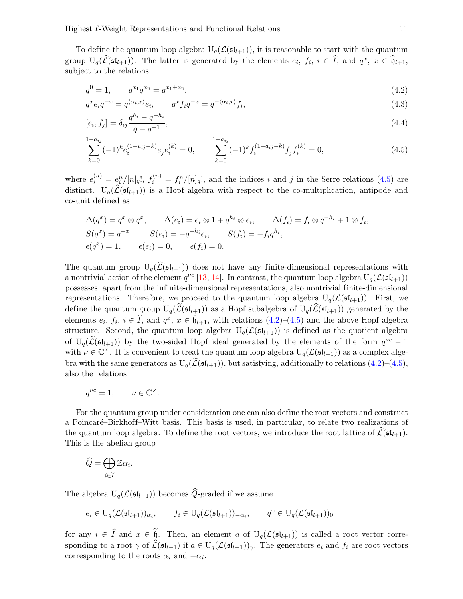To define the quantum loop algebra  $U_q(\mathcal{L}(\mathfrak{sl}_{l+1}))$ , it is reasonable to start with the quantum group  $U_q(\hat{L}(\mathfrak{sl}_{l+1}))$ . The latter is generated by the elements  $e_i, f_i, i \in \hat{I}$ , and  $q^x, x \in \hat{\mathfrak{h}}_{l+1}$ , subject to the relations

<span id="page-10-1"></span>
$$
q^0 = 1, \qquad q^{x_1} q^{x_2} = q^{x_1 + x_2}, \tag{4.2}
$$

$$
q^x e_i q^{-x} = q^{\langle \alpha_i, x \rangle} e_i, \qquad q^x f_i q^{-x} = q^{-\langle \alpha_i, x \rangle} f_i,
$$
\n
$$
(4.3)
$$

$$
[e_i, f_j] = \delta_{ij} \frac{q^{h_i} - q^{-h_i}}{q - q^{-1}},
$$
\n(4.4)

<span id="page-10-0"></span>
$$
\sum_{k=0}^{1-a_{ij}} (-1)^k e_i^{(1-a_{ij}-k)} e_j e_i^{(k)} = 0, \qquad \sum_{k=0}^{1-a_{ij}} (-1)^k f_i^{(1-a_{ij}-k)} f_j f_i^{(k)} = 0,
$$
\n(4.5)

where  $e_i^{(n)} = e_i^n/[n]_q!$ ,  $f_i^{(n)} = f_i^n/[n]_q!$ , and the indices i and j in the Serre relations [\(4.5\)](#page-10-0) are distinct.  $U_q(\hat{L}(\mathfrak{sl}_{l+1}))$  is a Hopf algebra with respect to the co-multiplication, antipode and co-unit defined as

$$
\Delta(q^x) = q^x \otimes q^x, \qquad \Delta(e_i) = e_i \otimes 1 + q^{h_i} \otimes e_i, \qquad \Delta(f_i) = f_i \otimes q^{-h_i} + 1 \otimes f_i,
$$
  
\n
$$
S(q^x) = q^{-x}, \qquad S(e_i) = -q^{-h_i}e_i, \qquad S(f_i) = -f_i q^{h_i},
$$
  
\n
$$
\epsilon(q^x) = 1, \qquad \epsilon(e_i) = 0, \qquad \epsilon(f_i) = 0.
$$

The quantum group  $U_q(\hat{\mathcal{L}}(\mathfrak{sl}_{l+1}))$  does not have any finite-dimensional representations with a nontrivial action of the element  $q^{\nu c}$  [\[13,](#page-29-0) [14\]](#page-29-1). In contrast, the quantum loop algebra  $U_q(\mathcal{L}(\mathfrak{sl}_{l+1}))$ possesses, apart from the infinite-dimensional representations, also nontrivial finite-dimensional representations. Therefore, we proceed to the quantum loop algebra  $U_q(\mathcal{L}(\mathfrak{sl}_{l+1}))$ . First, we define the quantum group  $U_q(\widetilde{\mathcal{L}}(\mathfrak{sl}_{l+1}))$  as a Hopf subalgebra of  $U_q(\widehat{\mathcal{L}}(\mathfrak{sl}_{l+1}))$  generated by the elements  $e_i$ ,  $f_i$ ,  $i \in \hat{I}$ , and  $q^x$ ,  $x \in \tilde{b}_{l+1}$ , with relations  $(4.2)$ – $(4.5)$  and the above Hopf algebra structure. Second, the quantum loop algebra  $U_q(\mathcal{L}(\mathfrak{sl}_{l+1}))$  is defined as the quotient algebra of  $U_q(\widetilde{\mathcal{L}}(\mathfrak{sl}_{l+1}))$  by the two-sided Hopf ideal generated by the elements of the form  $q^{\nu c} - 1$ with  $\nu \in \mathbb{C}^{\times}$ . It is convenient to treat the quantum loop algebra  $U_q(\mathcal{L}(\mathfrak{sl}_{l+1}))$  as a complex algebra with the same generators as  $U_q(\tilde{\mathcal{L}}(\mathfrak{sl}_{l+1}))$ , but satisfying, additionally to relations [\(4.2\)](#page-10-1)–[\(4.5\)](#page-10-0), also the relations

$$
q^{\nu c} = 1, \qquad \nu \in \mathbb{C}^{\times}.
$$

For the quantum group under consideration one can also define the root vectors and construct a Poincaré–Birkhoff–Witt basis. This basis is used, in particular, to relate two realizations of the quantum loop algebra. To define the root vectors, we introduce the root lattice of  $\mathcal{L}(\mathfrak{sl}_{l+1})$ . This is the abelian group

$$
\widehat{Q} = \bigoplus_{i \in \widehat{I}} \mathbb{Z} \alpha_i.
$$

The algebra  $U_q(\mathcal{L}(\mathfrak{sl}_{l+1}))$  becomes  $\widehat{Q}$ -graded if we assume

$$
e_i \in U_q(\mathcal{L}(\mathfrak{sl}_{l+1}))_{\alpha_i}, \qquad f_i \in U_q(\mathcal{L}(\mathfrak{sl}_{l+1}))_{-\alpha_i}, \qquad q^x \in U_q(\mathcal{L}(\mathfrak{sl}_{l+1}))_0
$$

for any  $i \in \hat{I}$  and  $x \in \tilde{b}$ . Then, an element a of  $U_q(\mathcal{L}(\mathfrak{sl}_{l+1}))$  is called a root vector corresponding to a root  $\gamma$  of  $\widehat{\mathcal{L}}(\mathfrak{sl}_{l+1})$  if  $a \in U_q(\mathcal{L}(\mathfrak{sl}_{l+1}))_\gamma$ . The generators  $e_i$  and  $f_i$  are root vectors corresponding to the roots  $\alpha_i$  and  $-\alpha_i$ .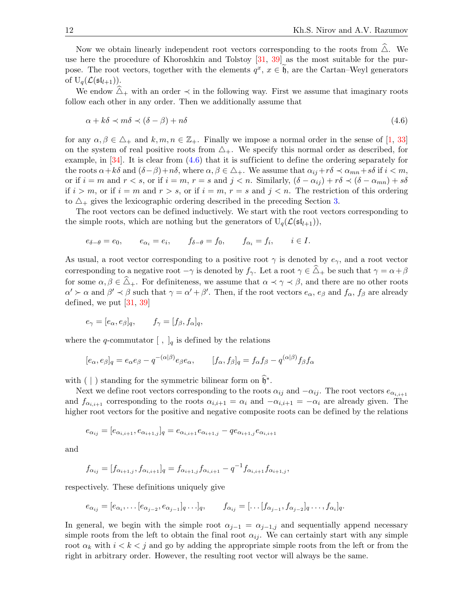Now we obtain linearly independent root vectors corresponding to the roots from  $\Delta$ . We use here the procedure of Khoroshkin and Tolstoy [\[31,](#page-30-15) [39\]](#page-30-16) as the most suitable for the purpose. The root vectors, together with the elements  $q^x$ ,  $x \in \tilde{\mathfrak{h}}$ , are the Cartan–Weyl generators of  $U_q(\mathcal{L}(\mathfrak{sl}_{l+1}))$ .

We endow  $\Delta_+$  with an order  $\prec$  in the following way. First we assume that imaginary roots follow each other in any order. Then we additionally assume that

<span id="page-11-0"></span>
$$
\alpha + k\delta \prec m\delta \prec (\delta - \beta) + n\delta \tag{4.6}
$$

for any  $\alpha, \beta \in \Delta_+$  and  $k, m, n \in \mathbb{Z}_+$ . Finally we impose a normal order in the sense of [\[1,](#page-29-11) [33\]](#page-30-12) on the system of real positive roots from  $\Delta_{+}$ . We specify this normal order as described, for example, in  $[34]$ . It is clear from  $(4.6)$  that it is sufficient to define the ordering separately for the roots  $\alpha + k\delta$  and  $(\delta - \beta) + n\delta$ , where  $\alpha, \beta \in \Delta_+$ . We assume that  $\alpha_{ij} + r\delta \prec \alpha_{mn} + s\delta$  if  $i < m$ , or if  $i = m$  and  $r < s$ , or if  $i = m$ ,  $r = s$  and  $j < n$ . Similarly,  $(\delta - \alpha_{ij}) + r\delta \prec (\delta - \alpha_{mn}) + s\delta$ if  $i > m$ , or if  $i = m$  and  $r > s$ , or if  $i = m$ ,  $r = s$  and  $j < n$ . The restriction of this ordering to  $\Delta_+$  gives the lexicographic ordering described in the preceding Section [3.](#page-4-0)

The root vectors can be defined inductively. We start with the root vectors corresponding to the simple roots, which are nothing but the generators of  $U_q(\mathcal{L}(\mathfrak{sl}_{l+1}))$ ,

$$
e_{\delta-\theta} = e_0, \qquad e_{\alpha_i} = e_i, \qquad f_{\delta-\theta} = f_0, \qquad f_{\alpha_i} = f_i, \qquad i \in I.
$$

As usual, a root vector corresponding to a positive root  $\gamma$  is denoted by  $e_{\gamma}$ , and a root vector corresponding to a negative root  $-\gamma$  is denoted by  $f_{\gamma}$ . Let a root  $\gamma \in \hat{\Delta}_+$  be such that  $\gamma = \alpha + \beta$ for some  $\alpha, \beta \in \tilde{\Delta}_+$ . For definiteness, we assume that  $\alpha \prec \gamma \prec \beta$ , and there are no other roots  $\alpha' \succ \alpha$  and  $\beta' \prec \beta$  such that  $\gamma = \alpha' + \beta'$ . Then, if the root vectors  $e_{\alpha}$ ,  $e_{\beta}$  and  $f_{\alpha}$ ,  $f_{\beta}$  are already defined, we put  $[31, 39]$  $[31, 39]$ 

$$
e_{\gamma} = [e_{\alpha}, e_{\beta}]_q, \qquad f_{\gamma} = [f_{\beta}, f_{\alpha}]_q,
$$

where the q-commutator  $\left[ \ , \ \right]_q$  is defined by the relations

$$
[e_{\alpha}, e_{\beta}]_q = e_{\alpha}e_{\beta} - q^{-(\alpha|\beta)}e_{\beta}e_{\alpha}, \qquad [f_{\alpha}, f_{\beta}]_q = f_{\alpha}f_{\beta} - q^{(\alpha|\beta)}f_{\beta}f_{\alpha}
$$

with ( | ) standing for the symmetric bilinear form on  $\hat{\mathfrak{h}}^*$ .

Next we define root vectors corresponding to the roots  $\alpha_{ij}$  and  $-\alpha_{ij}$ . The root vectors  $e_{\alpha_{i,i+1}}$ and  $f_{\alpha_{i,i+1}}$  corresponding to the roots  $\alpha_{i,i+1} = \alpha_i$  and  $-\alpha_{i,i+1} = -\alpha_i$  are already given. The higher root vectors for the positive and negative composite roots can be defined by the relations

$$
e_{\alpha_{ij}}=[e_{\alpha_{i,i+1}},e_{\alpha_{i+1,j}}]_q=e_{\alpha_{i,i+1}}e_{\alpha_{i+1,j}}-qe_{\alpha_{i+1,j}}e_{\alpha_{i,i+1}}
$$

and

$$
f_{\alpha_{ij}} = [f_{\alpha_{i+1,j}}, f_{\alpha_{i,i+1}}]_q = f_{\alpha_{i+1,j}} f_{\alpha_{i,i+1}} - q^{-1} f_{\alpha_{i,i+1}} f_{\alpha_{i+1,j}},
$$

respectively. These definitions uniquely give

$$
e_{\alpha_{ij}} = [e_{\alpha_i}, \dots [e_{\alpha_{j-2}}, e_{\alpha_{j-1}}]_q \dots ]_q, \qquad f_{\alpha_{ij}} = [\dots [f_{\alpha_{j-1}}, f_{\alpha_{j-2}}]_q \dots , f_{\alpha_i}]_q.
$$

In general, we begin with the simple root  $\alpha_{i-1} = \alpha_{i-1,j}$  and sequentially append necessary simple roots from the left to obtain the final root  $\alpha_{ij}$ . We can certainly start with any simple root  $\alpha_k$  with  $i < k < j$  and go by adding the appropriate simple roots from the left or from the right in arbitrary order. However, the resulting root vector will always be the same.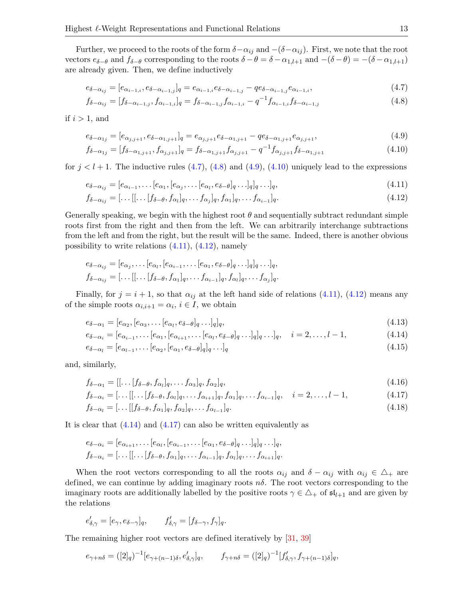Further, we proceed to the roots of the form  $\delta - \alpha_{ij}$  and  $-(\delta - \alpha_{ij})$ . First, we note that the root vectors  $e_{\delta-\theta}$  and  $f_{\delta-\theta}$  corresponding to the roots  $\delta-\theta=\delta-\alpha_{1,l+1}$  and  $-(\delta-\theta)=-(\delta-\alpha_{1,l+1})$ are already given. Then, we define inductively

<span id="page-12-0"></span>
$$
e_{\delta - \alpha_{ij}} = [e_{\alpha_{i-1,i}}, e_{\delta - \alpha_{i-1,j}}]_q = e_{\alpha_{i-1,i}} e_{\delta - \alpha_{i-1,j}} - q e_{\delta - \alpha_{i-1,j}} e_{\alpha_{i-1,i}},
$$
\n(4.7)

<span id="page-12-1"></span>
$$
f_{\delta-\alpha_{ij}} = [f_{\delta-\alpha_{i-1,j}}, f_{\alpha_{i-1,i}}]_q = f_{\delta-\alpha_{i-1,j}} f_{\alpha_{i-1,i}} - q^{-1} f_{\alpha_{i-1,i}} f_{\delta-\alpha_{i-1,j}} \tag{4.8}
$$

if  $i > 1$ , and

<span id="page-12-2"></span>
$$
e_{\delta - \alpha_{1j}} = [e_{\alpha_{j,j+1}}, e_{\delta - \alpha_{1,j+1}}]_q = e_{\alpha_{j,j+1}} e_{\delta - \alpha_{1,j+1}} - q e_{\delta - \alpha_{1,j+1}} e_{\alpha_{j,j+1}},
$$
(4.9)

<span id="page-12-3"></span>
$$
f_{\delta-\alpha_{1j}} = [f_{\delta-\alpha_{1,j+1}}, f_{\alpha_{j,j+1}}]_q = f_{\delta-\alpha_{1,j+1}} f_{\alpha_{j,j+1}} - q^{-1} f_{\alpha_{j,j+1}} f_{\delta-\alpha_{1,j+1}}
$$
(4.10)

for  $j < l + 1$ . The inductive rules [\(4.7\)](#page-12-0), [\(4.8\)](#page-12-1) and [\(4.9\)](#page-12-2), [\(4.10\)](#page-12-3) uniquely lead to the expressions

$$
e_{\delta-\alpha_{ij}} = [e_{\alpha_{i-1}}, \dots [e_{\alpha_1}, [e_{\alpha_j}, \dots [e_{\alpha_l}, e_{\delta-\theta}]_q \dots ]_q]_q \dots ]_q,
$$
\n
$$
(4.11)
$$

<span id="page-12-5"></span><span id="page-12-4"></span>
$$
f_{\delta-\alpha_{ij}} = [\dots[[\dots[f_{\delta-\theta}, f_{\alpha_l}]_q, \dots, f_{\alpha_j}]_q, f_{\alpha_1}]_q, \dots, f_{\alpha_{i-1}}]_q.
$$
\n(4.12)

Generally speaking, we begin with the highest root  $\theta$  and sequentially subtract redundant simple roots first from the right and then from the left. We can arbitrarily interchange subtractions from the left and from the right, but the result will be the same. Indeed, there is another obvious possibility to write relations  $(4.11)$ ,  $(4.12)$ , namely

$$
e_{\delta-\alpha_{ij}} = [e_{\alpha_j}, \dots [e_{\alpha_l}, [e_{\alpha_{i-1}}, \dots [e_{\alpha_1}, e_{\delta-\theta}]_q \dots ]_q]_q \dots ]_q,
$$
  

$$
f_{\delta-\alpha_{ij}} = [\dots [[\dots [f_{\delta-\theta}, f_{\alpha_1}]_q, \dots f_{\alpha_{i-1}}]_q, f_{\alpha_l}]_q, \dots f_{\alpha_j}]_q.
$$

Finally, for  $j = i + 1$ , so that  $\alpha_{ij}$  at the left hand side of relations [\(4.11\)](#page-12-4), [\(4.12\)](#page-12-5) means any of the simple roots  $\alpha_{i,i+1} = \alpha_i, i \in I$ , we obtain

<span id="page-12-6"></span>
$$
e_{\delta - \alpha_1} = [e_{\alpha_2}, [e_{\alpha_3}, \dots [e_{\alpha_l}, e_{\delta - \theta}]_q \dots ]_q]_q, \tag{4.13}
$$

$$
e_{\delta - \alpha_i} = [e_{\alpha_{i-1}}, \dots [e_{\alpha_1}, [e_{\alpha_{i+1}}, \dots [e_{\alpha_l}, e_{\delta - \theta}]_q \dots ]_q]_q \dots ]_q, \quad i = 2, \dots, l - 1,
$$
\n(4.14)

$$
e_{\delta - \alpha_l} = [e_{\alpha_{l-1}}, \dots [e_{\alpha_2}, [e_{\alpha_1}, e_{\delta - \theta}]_q]_q \dots]_q
$$
\n(4.15)

and, similarly,

<span id="page-12-7"></span>
$$
f_{\delta-\alpha_1} = [[\dots[f_{\delta-\theta}, f_{\alpha_l}]_q, \dots, f_{\alpha_3}]_q, f_{\alpha_2}]_q, \qquad (4.16)
$$

$$
f_{\delta-\alpha_i} = [\dots[[\dots[f_{\delta-\theta}, f_{\alpha_i}]_q, \dots f_{\alpha_{i+1}}]_q, f_{\alpha_1}]_q, \dots f_{\alpha_{i-1}}]_q, \quad i = 2, \dots, l-1,
$$
\n(4.17)

$$
f_{\delta - \alpha_l} = [\dots[[f_{\delta - \theta}, f_{\alpha_1}]_q, f_{\alpha_2}]_q, \dots f_{\alpha_{l-1}}]_q.
$$
\n(4.18)

It is clear that  $(4.14)$  and  $(4.17)$  can also be written equivalently as

$$
e_{\delta-\alpha_i} = [e_{\alpha_{i+1}}, \dots [e_{\alpha_l}, [e_{\alpha_{i-1}}, \dots [e_{\alpha_1}, e_{\delta-\theta}]_q \dots ]_q]_q \dots ]_q,
$$
  

$$
f_{\delta-\alpha_i} = [\dots [[\dots [f_{\delta-\theta}, f_{\alpha_1}]_q, \dots f_{\alpha_{i-1}}]_q, f_{\alpha_l}]_q, \dots f_{\alpha_{i+1}}]_q.
$$

When the root vectors corresponding to all the roots  $\alpha_{ij}$  and  $\delta - \alpha_{ij}$  with  $\alpha_{ij} \in \Delta_+$  are defined, we can continue by adding imaginary roots  $n\delta$ . The root vectors corresponding to the imaginary roots are additionally labelled by the positive roots  $\gamma \in \Delta_+$  of  $\mathfrak{sl}_{l+1}$  and are given by the relations

$$
e'_{\delta,\gamma} = [e_{\gamma}, e_{\delta-\gamma}]_q, \qquad f'_{\delta,\gamma} = [f_{\delta-\gamma}, f_{\gamma}]_q.
$$

The remaining higher root vectors are defined iteratively by [\[31,](#page-30-15) [39\]](#page-30-16)

$$
e_{\gamma+n\delta} = ([2]_q)^{-1} [e_{\gamma+(n-1)\delta}, e'_{\delta,\gamma}]_q, \qquad f_{\gamma+n\delta} = ([2]_q)^{-1} [f'_{\delta,\gamma}, f_{\gamma+(n-1)\delta}]_q,
$$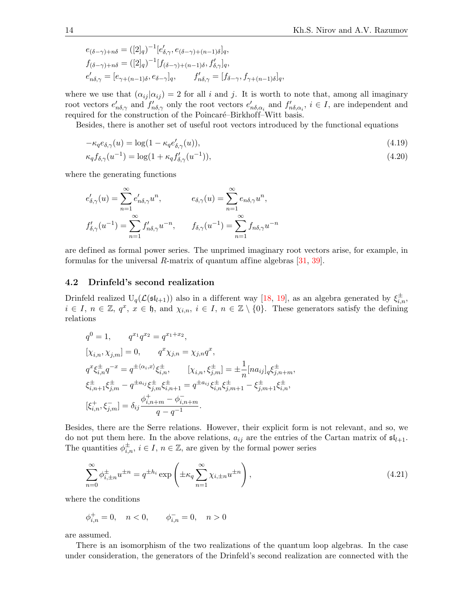$$
e_{(\delta-\gamma)+n\delta} = ([2]_q)^{-1} [e'_{\delta,\gamma}, e_{(\delta-\gamma)+(n-1)\delta}]_q,
$$
  
\n
$$
f_{(\delta-\gamma)+n\delta} = ([2]_q)^{-1} [f_{(\delta-\gamma)+(n-1)\delta}, f'_{\delta,\gamma}]_q,
$$
  
\n
$$
e'_{n\delta,\gamma} = [e_{\gamma+(n-1)\delta}, e_{\delta-\gamma}]_q, \qquad f'_{n\delta,\gamma} = [f_{\delta-\gamma}, f_{\gamma+(n-1)\delta}]_q,
$$

where we use that  $(\alpha_{ij} | \alpha_{ij}) = 2$  for all i and j. It is worth to note that, among all imaginary root vectors  $e'_{n\delta,\gamma}$  and  $f'_{n\delta,\gamma}$  only the root vectors  $e'_{n\delta,\alpha_i}$  and  $f'_{n\delta,\alpha_i}$ ,  $i \in I$ , are independent and required for the construction of the Poincaré–Birkhoff–Witt basis.

Besides, there is another set of useful root vectors introduced by the functional equations

<span id="page-13-0"></span>
$$
-\kappa_q e_{\delta,\gamma}(u) = \log(1 - \kappa_q e'_{\delta,\gamma}(u)),\tag{4.19}
$$

<span id="page-13-1"></span>
$$
\kappa_q f_{\delta,\gamma}(u^{-1}) = \log(1 + \kappa_q f'_{\delta,\gamma}(u^{-1})),\tag{4.20}
$$

where the generating functions

$$
e'_{\delta,\gamma}(u) = \sum_{n=1}^{\infty} e'_{n\delta,\gamma} u^n, \qquad e_{\delta,\gamma}(u) = \sum_{n=1}^{\infty} e_{n\delta,\gamma} u^n,
$$
  

$$
f'_{\delta,\gamma}(u^{-1}) = \sum_{n=1}^{\infty} f'_{n\delta,\gamma} u^{-n}, \qquad f_{\delta,\gamma}(u^{-1}) = \sum_{n=1}^{\infty} f_{n\delta,\gamma} u^{-n}
$$

are defined as formal power series. The unprimed imaginary root vectors arise, for example, in formulas for the universal  $R$ -matrix of quantum affine algebras [\[31,](#page-30-15) [39\]](#page-30-16).

#### 4.2 Drinfeld's second realization

Drinfeld realized  $U_q(\mathcal{L}(\mathfrak{sl}_{l+1}))$  also in a different way [\[18,](#page-30-7) [19\]](#page-30-18), as an algebra generated by  $\xi_{i,n}^{\pm}$ ,  $i \in I, n \in \mathbb{Z}, q^x, x \in \mathfrak{h}, \text{ and } \chi_{i,n}, i \in I, n \in \mathbb{Z} \setminus \{0\}.$  These generators satisfy the defining relations

$$
q^{0} = 1, \t q^{x_{1}} q^{x_{2}} = q^{x_{1} + x_{2}},
$$
  
\n
$$
[\chi_{i,n}, \chi_{j,m}] = 0, \t q^{x} \chi_{j,n} = \chi_{j,n} q^{x},
$$
  
\n
$$
q^{x} \xi_{i,n}^{\pm} q^{-x} = q^{\pm \langle \alpha_{i}, x \rangle} \xi_{i,n}^{\pm}, \t [\chi_{i,n}, \xi_{j,m}^{\pm}] = \pm \frac{1}{n} [na_{ij}]_{q} \xi_{j,n+m}^{\pm},
$$
  
\n
$$
\xi_{i,n+1}^{\pm} \xi_{j,m}^{\pm} - q^{\pm a_{ij}} \xi_{j,m}^{\pm} \xi_{i,n+1}^{\pm} = q^{\pm a_{ij}} \xi_{i,n}^{\pm} \xi_{j,m+1}^{\pm} - \xi_{j,m+1}^{\pm} \xi_{i,n}^{\pm},
$$
  
\n
$$
[\xi_{i,n}^{+}, \xi_{j,m}^{-}] = \delta_{ij} \frac{\phi_{i,n+m}^{+} - \phi_{i,n+m}^{-}}{q - q^{-1}}.
$$

Besides, there are the Serre relations. However, their explicit form is not relevant, and so, we do not put them here. In the above relations,  $a_{ij}$  are the entries of the Cartan matrix of  $\mathfrak{sl}_{l+1}$ . The quantities  $\phi_{i,n}^{\pm}$ ,  $i \in I$ ,  $n \in \mathbb{Z}$ , are given by the formal power series

<span id="page-13-2"></span>
$$
\sum_{n=0}^{\infty} \phi_{i,\pm n}^{\pm} u^{\pm n} = q^{\pm h_i} \exp\left(\pm \kappa_q \sum_{n=1}^{\infty} \chi_{i,\pm n} u^{\pm n}\right),\tag{4.21}
$$

where the conditions

$$
\phi_{i,n}^+ = 0
$$
,  $n < 0$ ,  $\phi_{i,n}^- = 0$ ,  $n > 0$ 

are assumed.

There is an isomorphism of the two realizations of the quantum loop algebras. In the case under consideration, the generators of the Drinfeld's second realization are connected with the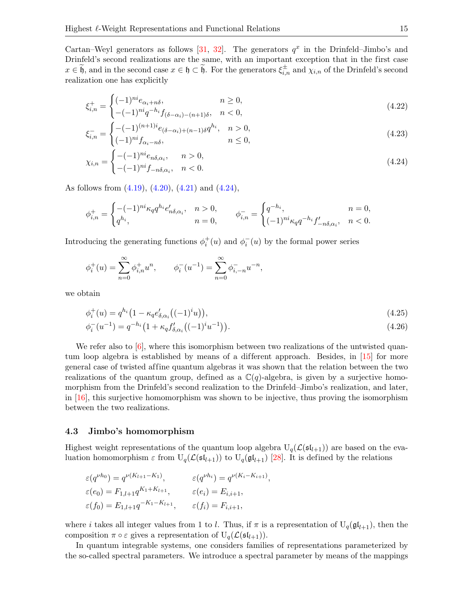Cartan–Weyl generators as follows [\[31,](#page-30-15) [32\]](#page-30-19). The generators  $q^x$  in the Drinfeld–Jimbo's and Drinfeld's second realizations are the same, with an important exception that in the first case  $x \in \widetilde{\mathfrak{h}}$ , and in the second case  $x \in \mathfrak{h} \subset \widetilde{\mathfrak{h}}$ . For the generators  $\xi_{i,n}^{\pm}$  and  $\chi_{i,n}$  of the Drinfeld's second realization one has explicitly

<span id="page-14-1"></span>
$$
\xi_{i,n}^{+} = \begin{cases}\n(-1)^{ni} e_{\alpha_i + n\delta}, & n \ge 0, \\
-(-1)^{ni} q^{-h_i} f_{(\delta - \alpha_i) - (n+1)\delta}, & n < 0,\n\end{cases}
$$
\n(4.22)

$$
\xi_{i,n}^{-} = \begin{cases}\n-(-1)^{(n+1)i} e_{(\delta - \alpha_i) + (n-1)\delta} q^{h_i}, & n > 0, \\
(-1)^{ni} f_{\alpha_i - n\delta}, & n \le 0,\n\end{cases}
$$
\n(4.23)

<span id="page-14-0"></span>
$$
\chi_{i,n} = \begin{cases}\n-(-1)^{ni} e_{n\delta,\alpha_i}, & n > 0, \\
-(-1)^{ni} f_{-n\delta,\alpha_i}, & n < 0.\n\end{cases}
$$
\n(4.24)

As follows from [\(4.19\)](#page-13-0), [\(4.20\)](#page-13-1), [\(4.21\)](#page-13-2) and [\(4.24\)](#page-14-0),

$$
\phi_{i,n}^+ = \begin{cases}\n-(-1)^{ni} \kappa_q q^{h_i} e'_{n\delta, \alpha_i}, & n > 0, \\
q^{h_i}, & n = 0,\n\end{cases} \qquad \phi_{i,n}^- = \begin{cases}\nq^{-h_i}, & n = 0, \\
(-1)^{ni} \kappa_q q^{-h_i} f'_{-n\delta, \alpha_i}, & n < 0.\n\end{cases}
$$

Introducing the generating functions  $\phi_i^+(u)$  and  $\phi_i^-(u)$  by the formal power series

$$
\phi_i^+(u) = \sum_{n=0}^{\infty} \phi_{i,n}^+ u^n, \qquad \phi_i^-(u^{-1}) = \sum_{n=0}^{\infty} \phi_{i,-n}^- u^{-n},
$$

we obtain

$$
\phi_i^+(u) = q^{h_i} \left( 1 - \kappa_q e_{\delta, \alpha_i}' \left( (-1)^i u \right) \right),\tag{4.25}
$$

<span id="page-14-4"></span><span id="page-14-3"></span>
$$
\phi_i^-(u^{-1}) = q^{-h_i} \left( 1 + \kappa_q f'_{\delta, \alpha_i} \left( (-1)^i u^{-1} \right) \right). \tag{4.26}
$$

We refer also to [\[6\]](#page-29-12), where this isomorphism between two realizations of the untwisted quan-tum loop algebra is established by means of a different approach. Besides, in [\[15\]](#page-30-20) for more general case of twisted affine quantum algebras it was shown that the relation between the two realizations of the quantum group, defined as a  $\mathbb{C}(q)$ -algebra, is given by a surjective homomorphism from the Drinfeld's second realization to the Drinfeld–Jimbo's realization, and later, in [\[16\]](#page-30-21), this surjective homomorphism was shown to be injective, thus proving the isomorphism between the two realizations.

#### <span id="page-14-2"></span>4.3 Jimbo's homomorphism

Highest weight representations of the quantum loop algebra  $U_q(\mathcal{L}(\mathfrak{sl}_{l+1}))$  are based on the evaluation homomorphism  $\varepsilon$  from  $U_q(\mathcal{L}(sl_{l+1}))$  to  $U_q(\mathfrak{gl}_{l+1})$  [\[28\]](#page-30-11). It is defined by the relations

$$
\varepsilon(q^{\nu h_0}) = q^{\nu(K_{l+1} - K_1)}, \qquad \varepsilon(q^{\nu h_i}) = q^{\nu(K_i - K_{i+1})},
$$
  
\n
$$
\varepsilon(e_0) = F_{1,l+1} q^{K_1 + K_{l+1}}, \qquad \varepsilon(e_i) = E_{i,i+1},
$$
  
\n
$$
\varepsilon(f_0) = E_{1,l+1} q^{-K_1 - K_{l+1}}, \qquad \varepsilon(f_i) = F_{i,i+1},
$$

where i takes all integer values from 1 to l. Thus, if  $\pi$  is a representation of  $U_q(\mathfrak{gl}_{l+1})$ , then the composition  $\pi \circ \varepsilon$  gives a representation of  $U_q(\mathcal{L}(\mathfrak{sl}_{l+1}))$ .

In quantum integrable systems, one considers families of representations parameterized by the so-called spectral parameters. We introduce a spectral parameter by means of the mappings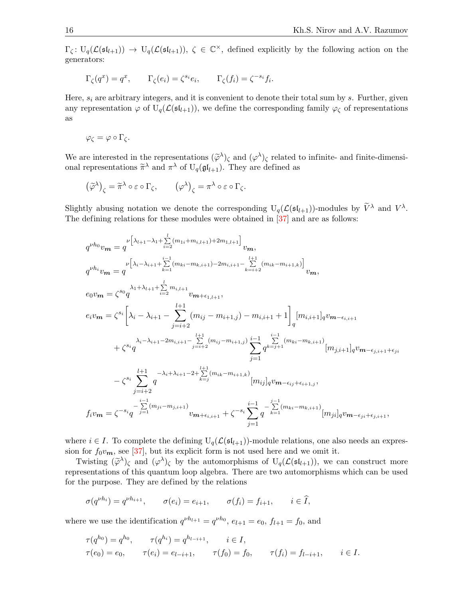$\Gamma_{\zeta}: U_q(\mathcal{L}(\mathfrak{sl}_{l+1})) \to U_q(\mathcal{L}(\mathfrak{sl}_{l+1}))$ ,  $\zeta \in \mathbb{C}^{\times}$ , defined explicitly by the following action on the generators:

$$
\Gamma_{\zeta}(q^x) = q^x
$$
,  $\Gamma_{\zeta}(e_i) = \zeta^{s_i} e_i$ ,  $\Gamma_{\zeta}(f_i) = \zeta^{-s_i} f_i$ .

Here,  $s_i$  are arbitrary integers, and it is convenient to denote their total sum by s. Further, given any representation  $\varphi$  of  $U_q(\mathcal{L}(\mathfrak{sl}_{l+1}))$ , we define the corresponding family  $\varphi_{\zeta}$  of representations as

$$
\varphi_{\zeta} = \varphi \circ \Gamma_{\zeta}.
$$

We are interested in the representations  $(\tilde{\varphi}^{\lambda})_{\zeta}$  and  $(\varphi^{\lambda})_{\zeta}$  related to infinite- and finite-dimensional representations  $\tilde{\varphi}^{\lambda}$  and  $\pi^{\lambda}$  of  $\Pi$  ( $\pi^{\prime}$ ). They are defined as onal representations  $\tilde{\pi}^{\lambda}$  and  $\pi^{\lambda}$  of  $U_q(\mathfrak{gl}_{l+1})$ . They are defined as

$$
(\widetilde{\varphi}^{\lambda})_{\zeta} = \widetilde{\pi}^{\lambda} \circ \varepsilon \circ \Gamma_{\zeta}, \qquad (\varphi^{\lambda})_{\zeta} = \pi^{\lambda} \circ \varepsilon \circ \Gamma_{\zeta}.
$$

Slightly abusing notation we denote the corresponding  $U_q(\mathcal{L}(\mathfrak{sl}_{l+1}))$ -modules by  $\widetilde{V}^{\lambda}$  and  $V^{\lambda}$ . The defining relations for these modules were obtained in [\[37\]](#page-30-5) and are as follows:

$$
q^{\nu h_0} v_m = q^{\nu \left[ \lambda_{l+1} - \lambda_1 + \sum_{i=2}^{l} (m_{1i} + m_{i,l+1}) + 2m_{1,l+1} \right]} v_m,
$$
\n
$$
q^{\nu h_i} v_m = q^{\nu \left[ \lambda_i - \lambda_{i+1} + \sum_{k=1}^{i-1} (m_{ki} - m_{k,i+1}) - 2m_{i,i+1} - \sum_{k=i+2}^{l+1} (m_{ik} - m_{i+1,k}) \right]} v_m,
$$
\n
$$
e_0 v_m = \zeta^{s_0} q^{\lambda_1 + \lambda_{l+1} + \sum_{i=2}^{l} m_{i,l+1}} v_{m+\epsilon_{1,l+1}},
$$
\n
$$
e_i v_m = \zeta^{s_i} \left[ \lambda_i - \lambda_{i+1} - \sum_{j=i+2}^{l+1} (m_{ij} - m_{i+1,j}) - m_{i,i+1} + 1 \right]_q \left[ m_{i,i+1} \right]_q v_{m-\epsilon_{i,i+1}} + \zeta^{s_i} q^{\lambda_i - \lambda_{i+1} - 2m_{i,i+1} - \sum_{j=i+2}^{l+1} (m_{ij} - m_{i+1,j})} \sum_{j=1}^{i-1} q^{\sum_{k=j}^{i-1} (m_{ki} - m_{k,i+1})} \left[ m_{j,i+1} \right]_q v_{m-\epsilon_{j,i+1} + \epsilon_{ji}}
$$
\n
$$
- \zeta^{s_i} \sum_{j=i+2}^{l+1} q^{-\lambda_i + \lambda_{i+1} - 2 + \sum_{k=j}^{l+1} (m_{ik} - m_{i+1,k})} \left[ m_{ij} \right]_q v_{m-\epsilon_{ij} + \epsilon_{i+1,j}},
$$
\n
$$
f_i v_m = \zeta^{-s_i} q^{-\sum_{j=1}^{i-1} (m_{ji} - m_{j,i+1})} v_{m+\epsilon_{i,i+1}} + \zeta^{-s_i} \sum_{j=1}^{i-1} q^{-\sum_{k=1}^{j-1} (m_{ki} - m_{k,i+1})} \left[ m_{ji} \right]_q v_{m-\epsilon_{ji} + \epsilon_{j,i+1}},
$$

where  $i \in I$ . To complete the defining  $U_q(\mathcal{L}(\mathfrak{sl}_{l+1}))$ -module relations, one also needs an expression for  $f_0v_m$ , see [\[37\]](#page-30-5), but its explicit form is not used here and we omit it.

Twisting  $(\tilde{\varphi}^{\lambda})_{\zeta}$  and  $({\varphi}^{\lambda})_{\zeta}$  by the automorphisms of  $U_q(\mathcal{L}(\mathfrak{sl}_{l+1}))$ , we can construct more representations of this quantum loop algebra. There are two automorphisms which can be used for the purpose. They are defined by the relations

$$
\sigma(q^{\nu h_i}) = q^{\nu h_{i+1}}, \qquad \sigma(e_i) = e_{i+1}, \qquad \sigma(f_i) = f_{i+1}, \qquad i \in \widehat{I},
$$

where we use the identification  $q^{\nu h_{l+1}} = q^{\nu h_0}$ ,  $e_{l+1} = e_0$ ,  $f_{l+1} = f_0$ , and

$$
\tau(q^{h_0}) = q^{h_0}, \qquad \tau(q^{h_i}) = q^{h_{l-i+1}}, \qquad i \in I,
$$
  
\n
$$
\tau(e_0) = e_0, \qquad \tau(e_i) = e_{l-i+1}, \qquad \tau(f_0) = f_0, \qquad \tau(f_i) = f_{l-i+1}, \qquad i \in I.
$$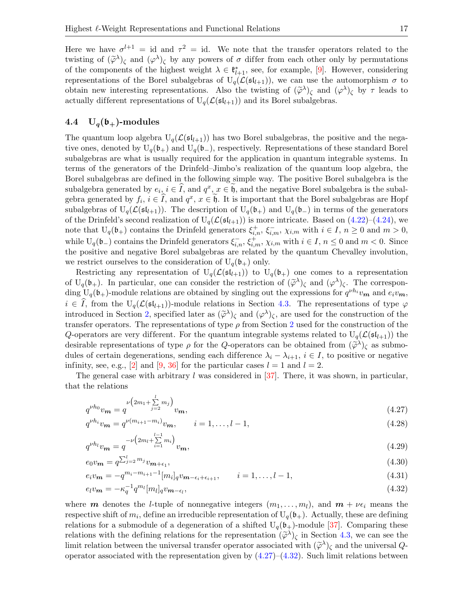Here we have  $\sigma^{l+1}$  = id and  $\tau^2$  = id. We note that the transfer operators related to the twisting of  $(\tilde{\varphi}^{\lambda})_{\zeta}$  and  $(\varphi^{\lambda})_{\zeta}$  by any powers of  $\sigma$  differ from each other only by permutations of the components of the highest weight  $\lambda \in \mathfrak{k}_{l+1}^*$ , see, for example, [\[9\]](#page-29-6). However, considering representations of the Borel subalgebras of  $U_q(\mathcal{L}(\mathfrak{sl}_{l+1}))$ , we can use the automorphism  $\sigma$  to obtain new interesting representations. Also the twisting of  $(\tilde{\varphi}^{\lambda})_{\zeta}$  and  $(\varphi^{\lambda})_{\zeta}$  by  $\tau$  leads to equivally different representations of U  $(C(\zeta_{\lambda})_{\zeta})$  and its Borel subalgebras. actually different representations of  $U_q(\mathcal{L}(\mathfrak{sl}_{l+1}))$  and its Borel subalgebras.

### 4.4  $U_q(b_+)$ -modules

The quantum loop algebra  $U_q(\mathcal{L}(\mathfrak{sl}_{l+1}))$  has two Borel subalgebras, the positive and the negative ones, denoted by  $U_q(\mathfrak{b}_+)$  and  $U_q(\mathfrak{b}_-)$ , respectively. Representations of these standard Borel subalgebras are what is usually required for the application in quantum integrable systems. In terms of the generators of the Drinfeld–Jimbo's realization of the quantum loop algebra, the Borel subalgebras are defined in the following simple way. The positive Borel subalgebra is the subalgebra generated by  $e_i, i \in \hat{I}$ , and  $q^x, x \in \hat{b}$ , and the negative Borel subalgebra is the subalgebra generated by  $f_i, i \in \hat{I}$ , and  $q^x, x \in \hat{b}$ . It is important that the Borel subalgebras are Hopf subalgebras of  $U_q(\mathcal{L}(\mathfrak{sl}_{l+1}))$ . The description of  $U_q(\mathfrak{b}_+)$  and  $U_q(\mathfrak{b}_-)$  in terms of the generators of the Drinfeld's second realization of  $U_q(\mathcal{L}(\mathfrak{sl}_{l+1}))$  is more intricate. Based on  $(4.22)-(4.24)$  $(4.22)-(4.24)$ , we note that  $U_q(\mathfrak{b}_+)$  contains the Drinfeld generators  $\xi_{i,n}^+$ ,  $\xi_{i,m}^-$ ,  $\chi_{i,m}$  with  $i \in I$ ,  $n \geq 0$  and  $m > 0$ , while  $U_q(\mathfrak{b}_-)$  contains the Drinfeld generators  $\xi_{i,n}^-, \xi_{i,m}^+, \chi_{i,m}$  with  $i \in I, n \leq 0$  and  $m < 0$ . Since the positive and negative Borel subalgebras are related by the quantum Chevalley involution, we restrict ourselves to the consideration of  $U_q(\mathfrak{b}_+)$  only.

Restricting any representation of  $U_q(\mathcal{L}(\mathfrak{sl}_{l+1}))$  to  $U_q(\mathfrak{b}_+)$  one comes to a representation of  $U_q(\mathfrak{b}_+)$ . In particular, one can consider the restriction of  $(\tilde{\varphi}^{\lambda})_\zeta$  and  $(\varphi^{\lambda})_\zeta$ . The corresponding  $U(\mathfrak{b}_+)$  module velocities are obtained by singling out the symposions for  $\zeta^{h}$  is a produce ding  $U_q(\mathfrak{b}_+)$ -module relations are obtained by singling out the expressions for  $q^{\nu h_i}v_m$  and  $e_i v_m$ ,  $i \in I$ , from the  $U_q(\mathcal{L}(\mathfrak{sl}_{l+1}))$ -module relations in Section [4.3.](#page-14-2) The representations of type  $\varphi$ introduced in Section [2,](#page-2-0) specified later as  $({\tilde{\varphi}}^{\lambda})_{\zeta}$  and  $({\varphi}^{\lambda})_{\zeta}$ , are used for the construction of the<br>transfer energtors. The representations of type a from Section 2 used for the construction of the transfer operators. The representations of type  $\rho$  from Section [2](#page-2-0) used for the construction of the Q-operators are very different. For the quantum integrable systems related to  $U_q(\mathcal{L}(\mathfrak{sl}_{l+1}))$  the desirable representations of type  $\rho$  for the Q-operators can be obtained from  $(\tilde{\varphi}^{\lambda})_{\zeta}$  as submo-<br>dules of equipments are equipments of difference  $\lambda$ dules of certain degenerations, sending each difference  $\lambda_i - \lambda_{i+1}$ ,  $i \in I$ , to positive or negative infinity, see, e.g., [\[2\]](#page-29-5) and [\[9,](#page-29-6) [36\]](#page-30-3) for the particular cases  $l = 1$  and  $l = 2$ .

The general case with arbitrary l was considered in  $[37]$ . There, it was shown, in particular, that the relations

<span id="page-16-0"></span>
$$
q^{\nu h_0} v_{m} = q^{\nu \left(2m_1 + \sum\limits_{j=2}^{l} m_j\right)} v_{m}, \tag{4.27}
$$

$$
q^{\nu h_i} v_m = q^{\nu (m_{i+1} - m_i)} v_m, \qquad i = 1, \dots, l-1,
$$
\n(4.28)

$$
q^{\nu h_l} v_{\mathbf{m}} = q^{-\nu \left(2m_l + \sum\limits_{i=1}^{l-1} m_i\right)} v_{\mathbf{m}},\tag{4.29}
$$

$$
e_0 v_{\mathbf{m}} = q^{\sum_{j=2}^{l} m_j} v_{\mathbf{m}+\epsilon_1},\tag{4.30}
$$

$$
e_i v_{\mathbf{m}} = -q^{m_i - m_{i+1} - 1} [m_i]_q v_{\mathbf{m} - \epsilon_i + \epsilon_{i+1}}, \qquad i = 1, \dots, l - 1,
$$
\n(4.31)

<span id="page-16-1"></span>
$$
e_l v_{\mathbf{m}} = -\kappa_q^{-1} q^{m_l} [m_l]_q v_{\mathbf{m}-\epsilon_l},\tag{4.32}
$$

where **m** denotes the *l*-tuple of nonnegative integers  $(m_1, \ldots, m_l)$ , and  $m + \nu \epsilon_i$  means the respective shift of  $m_i$ , define an irreducible representation of  $U_q(\mathfrak{b}_+)$ . Actually, these are defining relations for a submodule of a degeneration of a shifted  $U_q(\mathfrak{b}_+)$ -module [\[37\]](#page-30-5). Comparing these relations with the defining relations for the representation  $(\tilde{\varphi}^{\lambda})_{\zeta}$  in Section [4.3,](#page-14-2) we can see the<br>limit relation between the universal transfer operator associated with  $(\tilde{\varphi}^{\lambda})_{\zeta}$  and the universal  $\$ limit relation between the universal transfer operator associated with  $(\tilde{\varphi}^{\lambda})_{\zeta}$  and the universal  $Q$ -<br>congreter associated with the representation given by (4.27), (4.29). Such limit relations between operator associated with the representation given by  $(4.27)$ – $(4.32)$ . Such limit relations between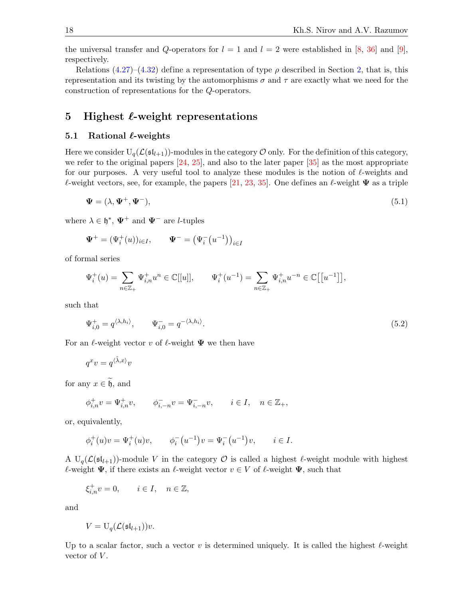the universal transfer and Q-operators for  $l = 1$  and  $l = 2$  were established in [\[8,](#page-29-8) [36\]](#page-30-3) and [\[9\]](#page-29-6), respectively.

Relations [\(4.27\)](#page-16-0)–[\(4.32\)](#page-16-1) define a representation of type  $\rho$  described in Section [2,](#page-2-0) that is, this representation and its twisting by the automorphisms  $\sigma$  and  $\tau$  are exactly what we need for the construction of representations for the Q-operators.

## <span id="page-17-0"></span>5 Highest  $\ell$ -weight representations

#### 5.1 Rational  $\ell$ -weights

Here we consider  $U_q(\mathcal{L}(\mathfrak{sl}_{l+1}))$ -modules in the category  $\mathcal O$  only. For the definition of this category, we refer to the original papers  $[24, 25]$  $[24, 25]$ , and also to the later paper  $[35]$  as the most appropriate for our purposes. A very useful tool to analyze these modules is the notion of  $\ell$ -weights and  $\ell$ -weight vectors, see, for example, the papers [\[21,](#page-30-23) [23,](#page-30-24) [35\]](#page-30-1). One defines an  $\ell$ -weight  $\Psi$  as a triple

<span id="page-17-2"></span>
$$
\mathbf{\Psi} = (\lambda, \mathbf{\Psi}^+, \mathbf{\Psi}^-), \tag{5.1}
$$

where  $\lambda \in \mathfrak{h}^*, \ \Psi^+$  and  $\Psi^-$  are *l*-tuples

$$
\Psi^{+} = (\Psi_{i}^{+}(u))_{i \in I}, \qquad \Psi^{-} = (\Psi_{i}^{-}(u^{-1}))_{i \in I}
$$

of formal series

$$
\Psi^+_i(u) = \sum_{n \in \mathbb{Z}_+} \Psi^+_{i,n} u^n \in \mathbb{C}[[u]], \qquad \Psi^+_i(u^{-1}) = \sum_{n \in \mathbb{Z}_+} \Psi^+_{i,n} u^{-n} \in \mathbb{C}\big[\big[u^{-1}\big]\big],
$$

such that

<span id="page-17-1"></span>
$$
\Psi_{i,0}^+ = q^{\langle \lambda, h_i \rangle}, \qquad \Psi_{i,0}^- = q^{-\langle \lambda, h_i \rangle}.
$$
\n(5.2)

For an  $\ell$ -weight vector v of  $\ell$ -weight  $\Psi$  we then have

$$
q^xv=q^{\langle\tilde\lambda,x\rangle}v
$$

for any  $x \in \widetilde{\mathfrak{h}}$ , and

$$
\phi_{i,n}^+ v = \Psi_{i,n}^+ v, \qquad \phi_{i,-n}^- v = \Psi_{i,-n}^- v, \qquad i \in I, \quad n \in \mathbb{Z}_+,
$$

or, equivalently,

$$
\phi_i^+(u)v = \Psi_i^+(u)v, \qquad \phi_i^-(u^{-1})v = \Psi_i^-(u^{-1})v, \qquad i \in I.
$$

A  $U_q(\mathcal{L}(\mathfrak{sl}_{l+1}))$ -module V in the category  $\mathcal O$  is called a highest  $\ell$ -weight module with highest  $\ell$ -weight  $\Psi$ , if there exists an  $\ell$ -weight vector  $v \in V$  of  $\ell$ -weight  $\Psi$ , such that

$$
\xi_{i,n}^+ v = 0, \qquad i \in I, \quad n \in \mathbb{Z},
$$

and

$$
V = U_q(\mathcal{L}(\mathfrak{sl}_{l+1}))v.
$$

Up to a scalar factor, such a vector v is determined uniquely. It is called the highest  $\ell$ -weight vector of  $V$ .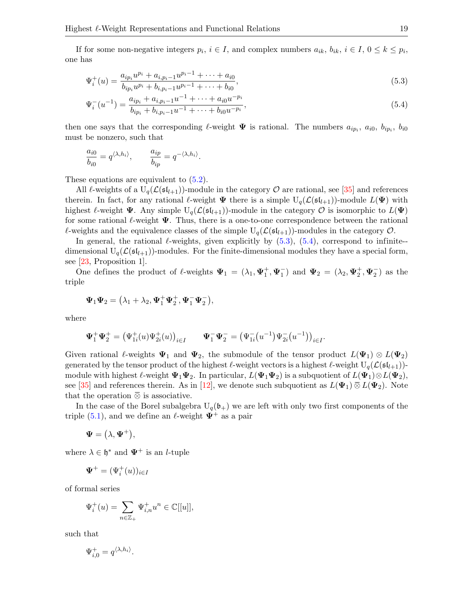If for some non-negative integers  $p_i$ ,  $i \in I$ , and complex numbers  $a_{ik}$ ,  $b_{ik}$ ,  $i \in I$ ,  $0 \le k \le p_i$ , one has

$$
\Psi_{i}^{+}(u) = \frac{a_{ip_{i}}u^{p_{i}} + a_{i,p_{i}-1}u^{p_{i}-1} + \dots + a_{i0}}{b_{ip_{i}}u^{p_{i}} + b_{i,p_{i}-1}u^{p_{i}-1} + \dots + b_{i0}},
$$
\n(5.3)

$$
\Psi_i^-(u^{-1}) = \frac{a_{ip_i} + a_{i,p_i-1}u^{-1} + \dots + a_{i0}u^{-p_i}}{b_{ip_i} + b_{i,p_i-1}u^{-1} + \dots + b_{i0}u^{-p_i}},
$$
\n(5.4)

then one says that the corresponding  $\ell$ -weight  $\Psi$  is rational. The numbers  $a_{ip_i}, a_{i0}, b_{ip_i}, b_{i0}$ must be nonzero, such that

$$
\frac{a_{i0}}{b_{i0}} = q^{\langle \lambda, h_i \rangle}, \qquad \frac{a_{ip}}{b_{ip}} = q^{-\langle \lambda, h_i \rangle}.
$$

These equations are equivalent to  $(5.2)$ .

All  $\ell$ -weights of a  $U_q(\mathcal{L}(\mathfrak{sl}_{l+1}))$ -module in the category  $\mathcal O$  are rational, see [\[35\]](#page-30-1) and references therein. In fact, for any rational  $\ell$ -weight  $\Psi$  there is a simple  $U_q(\mathcal{L}(\mathfrak{sl}_{l+1}))$ -module  $L(\Psi)$  with highest  $\ell$ -weight  $\Psi$ . Any simple  $U_q(\mathcal{L}(\mathfrak{sl}_{l+1}))$ -module in the category  $\mathcal O$  is isomorphic to  $L(\Psi)$ for some rational  $\ell$ -weight  $\Psi$ . Thus, there is a one-to-one correspondence between the rational  $\ell$ -weights and the equivalence classes of the simple  $U_q(\mathcal{L}(\mathfrak{sl}_{l+1}))$ -modules in the category  $\mathcal{O}$ .

In general, the rational  $\ell$ -weights, given explicitly by [\(5.3\)](#page-18-0), [\(5.4\)](#page-18-1), correspond to infinite-dimensional  $U_q(\mathcal{L}(\mathfrak{sl}_{l+1}))$ -modules. For the finite-dimensional modules they have a special form, see [\[23,](#page-30-24) Proposition 1].

One defines the product of  $\ell$ -weights  $\Psi_1 = (\lambda_1, \Psi_1^+, \Psi_1^-)$  and  $\Psi_2 = (\lambda_2, \Psi_2^+, \Psi_2^-)$  as the triple

$$
\mathbf{\Psi}_1\mathbf{\Psi}_2=\big(\lambda_1+\lambda_2,\mathbf{\Psi}_1^+\mathbf{\Psi}_2^+,\mathbf{\Psi}_1^-\mathbf{\Psi}_2^-\big),
$$

where

$$
\Psi_1^+ \Psi_2^+ = (\Psi_{1i}^+(u)\Psi_{2i}^+(u))_{i \in I} \qquad \Psi_1^- \Psi_2^- = (\Psi_{1i}^-(u^{-1})\Psi_{2i}^-(u^{-1}))_{i \in I}
$$

Given rational  $\ell$ -weights  $\Psi_1$  and  $\Psi_2$ , the submodule of the tensor product  $L(\Psi_1) \otimes L(\Psi_2)$ generated by the tensor product of the highest  $\ell$ -weight vectors is a highest  $\ell$ -weight  $U_q(\mathcal{L}(sI_{l+1}))$ module with highest  $\ell$ -weight  $\Psi_1\Psi_2$ . In particular,  $L(\Psi_1\Psi_2)$  is a subquotient of  $L(\Psi_1)\otimes L(\Psi_2)$ , see [\[35\]](#page-30-1) and references therein. As in [\[12\]](#page-29-10), we denote such subquotient as  $L(\Psi_1) \,\overline{\otimes}\, L(\Psi_2)$ . Note that the operation  $\overline{\otimes}$  is associative.

<span id="page-18-1"></span><span id="page-18-0"></span>.

In the case of the Borel subalgebra  $U_q(\mathfrak{b}_+)$  we are left with only two first components of the triple [\(5.1\)](#page-17-2), and we define an  $\ell$ -weight  $\Psi^+$  as a pair

$$
\mathbf{\Psi} = (\lambda, \mathbf{\Psi}^+),
$$

where  $\lambda \in \mathfrak{h}^*$  and  $\Psi^+$  is an *l*-tuple

$$
\Psi^+ = (\Psi^+_i(u))_{i \in I}
$$

of formal series

$$
\Psi_i^+(u) = \sum_{n \in \mathbb{Z}_+} \Psi_{i,n}^+ u^n \in \mathbb{C}[[u]],
$$

such that

$$
\Psi^+_{i,0} = q^{\langle \lambda, h_i \rangle}.
$$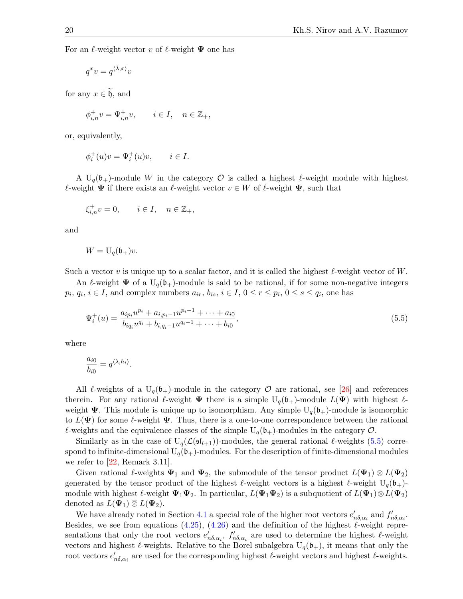For an  $\ell$ -weight vector v of  $\ell$ -weight  $\Psi$  one has

$$
q^xv=q^{\langle \tilde\lambda,x\rangle}v
$$

for any  $x \in \tilde{\mathfrak{h}}$ , and

$$
\phi_{i,n}^+ v = \Psi_{i,n}^+ v, \qquad i \in I, \quad n \in \mathbb{Z}_+,
$$

or, equivalently,

$$
\phi_i^+(u)v = \Psi_i^+(u)v, \qquad i \in I.
$$

A U<sub>q</sub>(b<sub>+</sub>)-module W in the category  $\mathcal O$  is called a highest  $\ell$ -weight module with highest  $\ell$ -weight  $\Psi$  if there exists an  $\ell$ -weight vector  $v \in W$  of  $\ell$ -weight  $\Psi$ , such that

$$
\xi_{i,n}^+ v = 0, \qquad i \in I, \quad n \in \mathbb{Z}_+,
$$

and

$$
W = U_q(\mathfrak{b}_+)v.
$$

Such a vector v is unique up to a scalar factor, and it is called the highest  $\ell$ -weight vector of W.

An  $\ell$ -weight  $\Psi$  of a U<sub>q</sub>(b<sub>+</sub>)-module is said to be rational, if for some non-negative integers  $p_i, q_i, i \in I$ , and complex numbers  $a_{ir}, b_{is}, i \in I, 0 \le r \le p_i, 0 \le s \le q_i$ , one has

<span id="page-19-0"></span>
$$
\Psi_{i}^{+}(u) = \frac{a_{ip_{i}}u^{p_{i}} + a_{i,p_{i}-1}u^{p_{i}-1} + \dots + a_{i0}}{b_{iq_{i}}u^{q_{i}} + b_{i,q_{i}-1}u^{q_{i}-1} + \dots + b_{i0}},
$$
\n(5.5)

where

$$
\frac{a_{i0}}{b_{i0}} = q^{\langle \lambda, h_i \rangle}.
$$

All  $\ell$ -weights of a  $U_q(b_+)$ -module in the category  $\mathcal O$  are rational, see [\[26\]](#page-30-0) and references therein. For any rational  $\ell$ -weight  $\Psi$  there is a simple  $U_q(\mathfrak{b}_+)$ -module  $L(\Psi)$  with highest  $\ell$ weight  $\Psi$ . This module is unique up to isomorphism. Any simple  $U_q(\mathfrak{b}_+)$ -module is isomorphic to  $L(\Psi)$  for some  $\ell$ -weight  $\Psi$ . Thus, there is a one-to-one correspondence between the rational  $\ell$ -weights and the equivalence classes of the simple  $U_q(\mathfrak{b}_+)$ -modules in the category  $\mathcal{O}$ .

Similarly as in the case of  $U_q(\mathcal{L}(\mathfrak{sl}_{l+1}))$ -modules, the general rational  $\ell$ -weights [\(5.5\)](#page-19-0) correspond to infinite-dimensional  $U_q(b_+)$ -modules. For the description of finite-dimensional modules we refer to  $|22$ , Remark 3.11.

Given rational  $\ell$ -weights  $\Psi_1$  and  $\Psi_2$ , the submodule of the tensor product  $L(\Psi_1) \otimes L(\Psi_2)$ generated by the tensor product of the highest  $\ell$ -weight vectors is a highest  $\ell$ -weight U<sub>q</sub>(b<sub>+</sub>)module with highest  $\ell$ -weight  $\Psi_1\Psi_2$ . In particular,  $L(\Psi_1\Psi_2)$  is a subquotient of  $L(\Psi_1)\otimes L(\Psi_2)$ denoted as  $L(\Psi_1) \,\overline{\otimes}\, L(\Psi_2)$ .

We have already noted in Section [4.1](#page-8-2) a special role of the higher root vectors  $e'_{n\delta,\alpha_i}$  and  $f'_{n\delta,\alpha_i}$ . Besides, we see from equations [\(4.25\)](#page-14-3), [\(4.26\)](#page-14-4) and the definition of the highest  $\ell$ -weight representations that only the root vectors  $e'_{n\delta,\alpha_i}$ ,  $f'_{n\delta,\alpha_i}$  are used to determine the highest  $\ell$ -weight vectors and highest  $\ell$ -weights. Relative to the Borel subalgebra  $U_q(\mathfrak{b}_+)$ , it means that only the root vectors  $e'_{n\delta,\alpha_i}$  are used for the corresponding highest  $\ell$ -weight vectors and highest  $\ell$ -weights.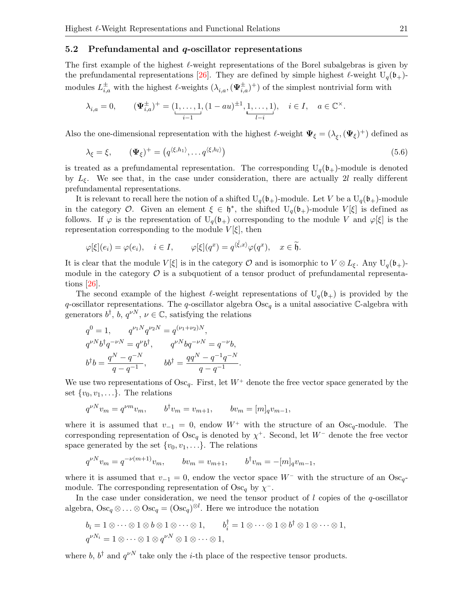#### 5.2 Prefundamental and  $q$ -oscillator representations

The first example of the highest  $\ell$ -weight representations of the Borel subalgebras is given by the prefundamental representations [\[26\]](#page-30-0). They are defined by simple highest  $\ell$ -weight U<sub>q</sub>(b<sub>+</sub>)modules  $L^{\pm}_{i,a}$  with the highest  $\ell$ -weights  $(\lambda_{i,a},(\Psi^{\pm}_{i,a})^+)$  of the simplest nontrivial form with

$$
\lambda_{i,a} = 0, \qquad (\Psi_{i,a}^{\pm})^+ = (\underbrace{1, \ldots, 1}_{i-1}, (1 - au)^{\pm 1}, \underbrace{1, \ldots, 1}_{l-i}), \quad i \in I, \quad a \in \mathbb{C}^{\times}.
$$

Also the one-dimensional representation with the highest  $\ell$ -weight  $\Psi_{\xi} = (\lambda_{\xi}, (\Psi_{\xi})^+)$  defined as

$$
\lambda_{\xi} = \xi, \qquad (\mathbf{\Psi}_{\xi})^{+} = (q^{\langle \xi, h_1 \rangle}, \dots q^{\langle \xi, h_l \rangle}) \tag{5.6}
$$

is treated as a prefundamental representation. The corresponding  $U_q(b_+)$ -module is denoted by  $L_{\xi}$ . We see that, in the case under consideration, there are actually 2l really different prefundamental representations.

It is relevant to recall here the notion of a shifted  $U_q(\mathfrak{b}_+)$ -module. Let V be a  $U_q(\mathfrak{b}_+)$ -module in the category O. Given an element  $\xi \in \mathfrak{h}^*$ , the shifted  $U_q(\mathfrak{b}_+)$ -module  $V[\xi]$  is defined as follows. If  $\varphi$  is the representation of  $U_q(\mathfrak{b}_+)$  corresponding to the module V and  $\varphi[\xi]$  is the representation corresponding to the module  $V[\xi]$ , then

$$
\varphi[\xi](e_i) = \varphi(e_i), \quad i \in I, \qquad \varphi[\xi](q^x) = q^{\langle \tilde{\xi}, x \rangle} \varphi(q^x), \quad x \in \tilde{\mathfrak{h}}.
$$

It is clear that the module  $V[\xi]$  is in the category O and is isomorphic to  $V \otimes L_{\xi}$ . Any  $U_q(\mathfrak{b}_+)$ module in the category  $\mathcal O$  is a subquotient of a tensor product of prefundamental representations [\[26\]](#page-30-0).

The second example of the highest  $\ell$ -weight representations of  $U_q(b_+)$  is provided by the q-oscillator representations. The q-oscillator algebra  $\text{Osc}_q$  is a unital associative C-algebra with generators  $b^{\dagger}$ ,  $b$ ,  $q^{\nu N}$ ,  $\nu \in \mathbb{C}$ , satisfying the relations

$$
\begin{aligned} q^0&=1,\qquad q^{\nu_1N}q^{\nu_2N}=q^{(\nu_1+\nu_2)N},\\ q^{\nu N}b^\dagger q^{-\nu N}=q^\nu b^\dagger,\qquad q^{\nu N}b q^{-\nu N}=q^{-\nu}b,\\ b^\dagger b=\frac{q^N-q^{-N}}{q-q^{-1}},\qquad b b^\dagger=\frac{qq^N-q^{-1}q^{-N}}{q-q^{-1}}. \end{aligned}
$$

We use two representations of  $\text{Osc}_q$ . First, let  $W^+$  denote the free vector space generated by the set  $\{v_0, v_1, \ldots\}$ . The relations

$$
q^{\nu N}v_m = q^{\nu m}v_m
$$
,  $b^{\dagger}v_m = v_{m+1}$ ,  $bv_m = [m]_q v_{m-1}$ ,

where it is assumed that  $v_{-1} = 0$ , endow  $W^+$  with the structure of an Osc<sub>q</sub>-module. The corresponding representation of  $\text{Osc}_q$  is denoted by  $\chi^+$ . Second, let  $W^-$  denote the free vector space generated by the set  $\{v_0, v_1, \ldots\}$ . The relations

$$
q^{\nu N}v_m = q^{-\nu(m+1)}v_m
$$
,  $bv_m = v_{m+1}$ ,  $b^{\dagger}v_m = -[m]_qv_{m-1}$ ,

where it is assumed that  $v_{-1} = 0$ , endow the vector space  $W^-$  with the structure of an Osc<sub>q</sub>module. The corresponding representation of  $\text{Osc}_q$  by  $\chi^-$ .

In the case under consideration, we need the tensor product of  $l$  copies of the  $q$ -oscillator algebra,  $\text{Osc}_q \otimes \ldots \otimes \text{Osc}_q = (\text{Osc}_q)^{\otimes l}$ . Here we introduce the notation

$$
b_i = 1 \otimes \cdots \otimes 1 \otimes b \otimes 1 \otimes \cdots \otimes 1, \qquad b_i^{\dagger} = 1 \otimes \cdots \otimes 1 \otimes b^{\dagger} \otimes 1 \otimes \cdots \otimes 1, q^{\nu N_i} = 1 \otimes \cdots \otimes 1 \otimes q^{\nu N} \otimes 1 \otimes \cdots \otimes 1,
$$

where b,  $b^{\dagger}$  and  $q^{\nu N}$  take only the *i*-th place of the respective tensor products.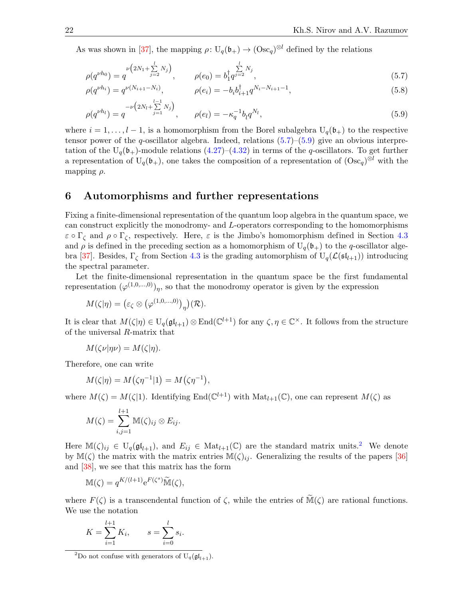As was shown in [\[37\]](#page-30-5), the mapping  $\rho: U_q(\mathfrak{b}_+) \to (\Omega \text{sc}_q)^{\otimes l}$  defined by the relations

<span id="page-21-1"></span>
$$
\rho(q^{\nu h_0}) = q^{\nu\left(2N_1 + \sum\limits_{j=2}^{l} N_j\right)}, \qquad \rho(e_0) = b_1^{\dagger} q^{\sum\limits_{j=2}^{l} N_j}, \tag{5.7}
$$

<span id="page-21-2"></span>
$$
\rho(q^{\nu h_i}) = q^{\nu(N_{i+1} - N_i)}, \qquad \rho(e_i) = -b_i b_{i+1}^{\dagger} q^{N_i - N_{i+1} - 1}, \qquad (5.8)
$$

$$
\rho(q^{\nu h_l}) = q^{-\nu \left(2N_l + \sum\limits_{j=1}^{l-1} N_j\right)}, \qquad \rho(e_l) = -\kappa_q^{-1} b_l q^{N_l}, \tag{5.9}
$$

where  $i = 1, \ldots, l-1$ , is a homomorphism from the Borel subalgebra  $U_q(\mathfrak{b}_+)$  to the respective tensor power of the q-oscillator algebra. Indeed, relations  $(5.7)$ – $(5.9)$  give an obvious interpretation of the  $U_q(\mathfrak{b}_+)$ -module relations  $(4.27)$ – $(4.32)$  in terms of the q-oscillators. To get further a representation of  $U_q(\mathfrak{b}_+)$ , one takes the composition of a representation of  $(\text{Osc}_q)^{\otimes l}$  with the mapping  $\rho$ .

### <span id="page-21-0"></span>6 Automorphisms and further representations

Fixing a finite-dimensional representation of the quantum loop algebra in the quantum space, we can construct explicitly the monodromy- and L-operators corresponding to the homomorphisms  $\varepsilon \circ \Gamma_{\zeta}$  and  $\rho \circ \Gamma_{\zeta}$ , respectively. Here,  $\varepsilon$  is the Jimbo's homomorphism defined in Section [4.3](#page-14-2) and  $\rho$  is defined in the preceding section as a homomorphism of  $U_q(\mathfrak{b}_+)$  to the q-oscillator alge-bra [\[37\]](#page-30-5). Besides,  $\Gamma_{\zeta}$  from Section [4.3](#page-14-2) is the grading automorphism of  $U_q(\mathcal{L}(\mathfrak{sl}_{l+1}))$  introducing the spectral parameter.

Let the finite-dimensional representation in the quantum space be the first fundamental representation  $(\varphi^{(1,0,\ldots,0)})_{\eta}$ , so that the monodromy operator is given by the expression

$$
M(\zeta|\eta) = (\varepsilon_{\zeta} \otimes (\varphi^{(1,0,\ldots,0)})_{\eta})(\mathcal{R}).
$$

It is clear that  $M(\zeta|\eta) \in U_q(\mathfrak{gl}_{l+1}) \otimes \text{End}(\mathbb{C}^{l+1})$  for any  $\zeta, \eta \in \mathbb{C}^\times$ . It follows from the structure of the universal R-matrix that

$$
M(\zeta \nu | \eta \nu) = M(\zeta | \eta).
$$

Therefore, one can write

$$
M(\zeta|\eta) = M(\zeta\eta^{-1}|1) = M(\zeta\eta^{-1}),
$$

where  $M(\zeta) = M(\zeta|1)$ . Identifying End $(\mathbb{C}^{l+1})$  with  $\text{Mat}_{l+1}(\mathbb{C})$ , one can represent  $M(\zeta)$  as

$$
M(\zeta)=\sum_{i,j=1}^{l+1}\mathbb{M}(\zeta)_{ij}\otimes E_{ij}.
$$

Here  $\mathbb{M}(\zeta)_{ij} \in U_q(\mathfrak{gl}_{l+1}),$  and  $E_{ij} \in \text{Mat}_{l+1}(\mathbb{C})$  are the standard matrix units.<sup>[2](#page-21-3)</sup> We denote by  $\mathbb{M}(\zeta)$  the matrix with the matrix entries  $\mathbb{M}(\zeta)_{ij}$ . Generalizing the results of the papers [\[36\]](#page-30-3) and [\[38\]](#page-30-25), we see that this matrix has the form

$$
\mathbb{M}(\zeta) = q^{K/(l+1)} e^{F(\zeta^s)} \widetilde{\mathbb{M}}(\zeta),
$$

where  $F(\zeta)$  is a transcendental function of  $\zeta$ , while the entries of  $\widetilde{\mathbb{M}}(\zeta)$  are rational functions. We use the notation

$$
K = \sum_{i=1}^{l+1} K_i, \qquad s = \sum_{i=0}^{l} s_i.
$$

<span id="page-21-3"></span><sup>&</sup>lt;sup>2</sup>Do not confuse with generators of  $U_q(\mathfrak{gl}_{l+1})$ .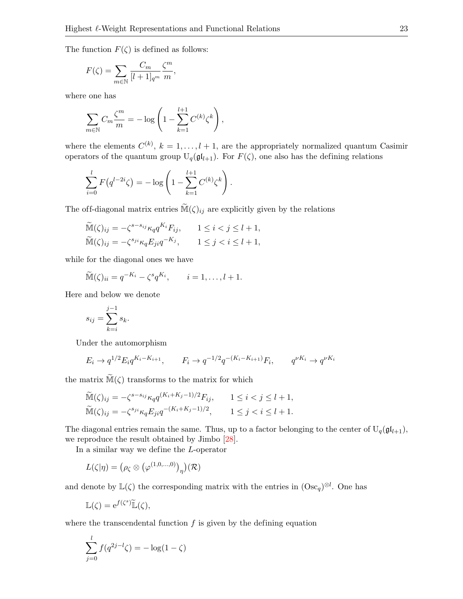The function  $F(\zeta)$  is defined as follows:

$$
F(\zeta) = \sum_{m \in \mathbb{N}} \frac{C_m}{[l+1]_{q^m}} \frac{\zeta^m}{m},
$$

where one has

$$
\sum_{m \in \mathbb{N}} C_m \frac{\zeta^m}{m} = -\log \left( 1 - \sum_{k=1}^{l+1} C^{(k)} \zeta^k \right),
$$

where the elements  $C^{(k)}$ ,  $k = 1, ..., l + 1$ , are the appropriately normalized quantum Casimir operators of the quantum group  $U_q(\mathfrak{gl}_{l+1})$ . For  $F(\zeta)$ , one also has the defining relations

$$
\sum_{i=0}^{l} F(q^{l-2i}\zeta) = -\log\left(1 - \sum_{k=1}^{l+1} C^{(k)}\zeta^k\right).
$$

The off-diagonal matrix entries  $\widetilde{\mathbb{M}}(\zeta)_{ij}$  are explicitly given by the relations

$$
\widetilde{\mathbb{M}}(\zeta)_{ij} = -\zeta^{s-s_{ij}} \kappa_q q^{K_i} F_{ij}, \qquad 1 \le i < j \le l+1,
$$
  

$$
\widetilde{\mathbb{M}}(\zeta)_{ij} = -\zeta^{s_{ji}} \kappa_q E_{ji} q^{-K_j}, \qquad 1 \le j < i \le l+1,
$$

while for the diagonal ones we have

$$
\widetilde{\mathbb{M}}(\zeta)_{ii} = q^{-K_i} - \zeta^s q^{K_i}, \qquad i = 1, \dots, l+1.
$$

Here and below we denote

$$
s_{ij} = \sum_{k=i}^{j-1} s_k.
$$

Under the automorphism

$$
E_i \to q^{1/2} E_i q^{K_i - K_{i+1}}, \qquad F_i \to q^{-1/2} q^{-(K_i - K_{i+1})} F_i, \qquad q^{\nu K_i} \to q^{\nu K_i}
$$

the matrix  $\widetilde{\mathbb{M}}(\zeta)$  transforms to the matrix for which

$$
\widetilde{\mathbb{M}}(\zeta)_{ij} = -\zeta^{s-s_{ij}} \kappa_q q^{(K_i + K_j - 1)/2} F_{ij}, \qquad 1 \le i < j \le l+1,
$$
\n
$$
\widetilde{\mathbb{M}}(\zeta)_{ij} = -\zeta^{s_{ji}} \kappa_q E_{ji} q^{-(K_i + K_j - 1)/2}, \qquad 1 \le j < i \le l+1.
$$

The diagonal entries remain the same. Thus, up to a factor belonging to the center of  $U_q(\mathfrak{gl}_{l+1}),$ we reproduce the result obtained by Jimbo [\[28\]](#page-30-11).

In a similar way we define the L-operator

$$
L(\zeta|\eta) = (\rho_{\zeta} \otimes (\varphi^{(1,0,\dots,0)})_{\eta})(\mathcal{R})
$$

and denote by  $\mathbb{L}(\zeta)$  the corresponding matrix with the entries in  $(\text{Osc}_q)^{\otimes l}$ . One has

$$
\mathbb{L}(\zeta) = e^{f(\zeta^s)} \widetilde{\mathbb{L}}(\zeta),
$$

where the transcendental function  $f$  is given by the defining equation

$$
\sum_{j=0}^{l} f(q^{2j-l}\zeta) = -\log(1-\zeta)
$$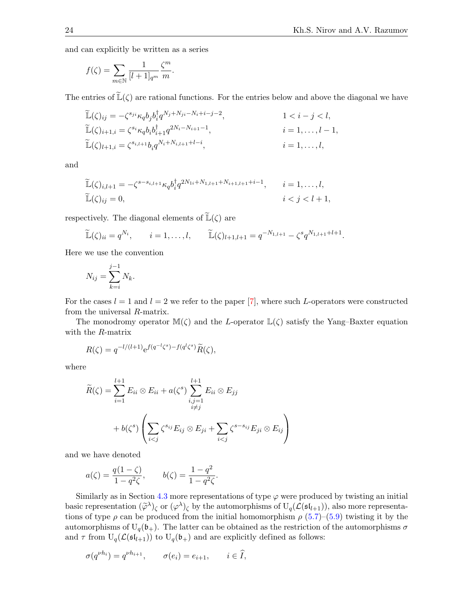and can explicitly be written as a series

$$
f(\zeta) = \sum_{m \in \mathbb{N}} \frac{1}{[l+1]_{q^m}} \frac{\zeta^m}{m}.
$$

The entries of  $\mathbb{L}(\zeta)$  are rational functions. For the entries below and above the diagonal we have

$$
\widetilde{\mathbb{L}}(\zeta)_{ij} = -\zeta^{s_{ji}} \kappa_q b_j b_i^{\dagger} q^{N_j + N_{ji} - N_i + i - j - 2}, \qquad 1 < i - j < l,\n\widetilde{\mathbb{L}}(\zeta)_{i+1,i} = \zeta^{s_i} \kappa_q b_i b_{i+1}^{\dagger} q^{2N_i - N_{i+1} - 1}, \qquad i = 1, ..., l - 1,\n\widetilde{\mathbb{L}}(\zeta)_{l+1,i} = \zeta^{s_{i,l+1}} b_i q^{N_i + N_{i,l+1} + l - i}, \qquad i = 1, ..., l,
$$

and

$$
\widetilde{\mathbb{L}}(\zeta)_{i,l+1} = -\zeta^{s-s_{i,l+1}} \kappa_q b_i^{\dagger} q^{2N_{1i} + N_{1,l+1} + N_{i+1,l+1} + i - 1}, \qquad i = 1, ..., l,
$$
  

$$
\widetilde{\mathbb{L}}(\zeta)_{ij} = 0, \qquad i < j < l+1,
$$

respectively. The diagonal elements of  $\widetilde{\mathbb{L}}(\zeta)$  are

$$
\widetilde{\mathbb{L}}(\zeta)_{ii} = q^{N_i}, \qquad i = 1, ..., l, \qquad \widetilde{\mathbb{L}}(\zeta)_{l+1,l+1} = q^{-N_{1,l+1}} - \zeta^s q^{N_{1,l+1}+l+1}.
$$

Here we use the convention

$$
N_{ij} = \sum_{k=i}^{j-1} N_k.
$$

For the cases  $l = 1$  and  $l = 2$  we refer to the paper [\[7\]](#page-29-13), where such L-operators were constructed from the universal R-matrix.

The monodromy operator  $\mathbb{M}(\zeta)$  and the L-operator  $\mathbb{L}(\zeta)$  satisfy the Yang–Baxter equation with the R-matrix

$$
R(\zeta) = q^{-l/(l+1)} e^{f(q^{-l}\zeta^s) - f(q^l\zeta^s)} \widetilde{R}(\zeta),
$$

where

$$
\widetilde{R}(\zeta) = \sum_{i=1}^{l+1} E_{ii} \otimes E_{ii} + a(\zeta^s) \sum_{\substack{i,j=1 \ i \neq j}}^{l+1} E_{ii} \otimes E_{jj}
$$
\n
$$
+ b(\zeta^s) \left( \sum_{i < j} \zeta^{s_{ij}} E_{ij} \otimes E_{ji} + \sum_{i < j} \zeta^{s-s_{ij}} E_{ji} \otimes E_{ij} \right)
$$

and we have denoted

$$
a(\zeta) = \frac{q(1-\zeta)}{1-q^2\zeta}, \qquad b(\zeta) = \frac{1-q^2}{1-q^2\zeta}.
$$

Similarly as in Section [4.3](#page-14-2) more representations of type  $\varphi$  were produced by twisting an initial basic representation  $(\tilde{\varphi}^{\lambda})_{\zeta}$  or  $(\varphi^{\lambda})_{\zeta}$  by the automorphisms of  $U_q(\mathcal{L}(\mathfrak{sl}_{l+1}))$ , also more representations of type  $\rho$  can be produced from the initial homomorphism  $\rho$  [\(5.7\)](#page-21-1)–[\(5.9\)](#page-21-2) twisting it by the automorphisms of  $U_q(\mathfrak{b}_+)$ . The latter can be obtained as the restriction of the automorphisms  $\sigma$ and  $\tau$  from  $U_q(\mathcal{L}(\mathfrak{sl}_{l+1}))$  to  $U_q(\mathfrak{b}_+)$  and are explicitly defined as follows:

$$
\sigma(q^{\nu h_i}) = q^{\nu h_{i+1}}, \qquad \sigma(e_i) = e_{i+1}, \qquad i \in \widehat{I},
$$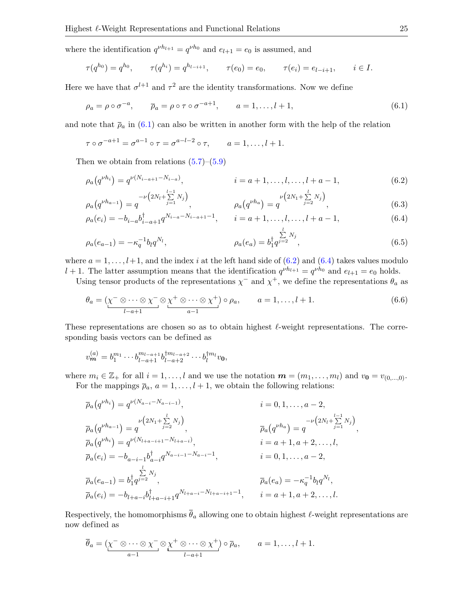where the identification  $q^{\nu h_{l+1}} = q^{\nu h_0}$  and  $e_{l+1} = e_0$  is assumed, and

$$
\tau(q^{h_0}) = q^{h_0}, \qquad \tau(q^{h_i}) = q^{h_{l-i+1}}, \qquad \tau(e_0) = e_0, \qquad \tau(e_i) = e_{l-i+1}, \qquad i \in I.
$$

Here we have that  $\sigma^{l+1}$  and  $\tau^2$  are the identity transformations. Now we define

<span id="page-24-0"></span>
$$
\rho_a = \rho \circ \sigma^{-a}, \qquad \overline{\rho}_a = \rho \circ \tau \circ \sigma^{-a+1}, \qquad a = 1, \dots, l+1,
$$
\n(6.1)

and note that  $\bar{\rho}_a$  in [\(6.1\)](#page-24-0) can also be written in another form with the help of the relation

$$
\tau \circ \sigma^{-a+1} = \sigma^{a-1} \circ \tau = \sigma^{a-l-2} \circ \tau, \qquad a = 1, \dots, l+1.
$$

Then we obtain from relations  $(5.7)$ – $(5.9)$ 

$$
\rho_a(q^{\nu h_i}) = q^{\nu(N_{i-a+1} - N_{i-a})}, \qquad i = a+1, \dots, l, \dots, l+a-1,\tag{6.2}
$$

$$
\rho_a(q^{\nu h_{a-1}}) = q^{-\nu(2N_l + \sum\limits_{j=1}^{l-1} N_j)}, \qquad \rho_a(q^{\nu h_a}) = q^{\nu(2N_l + \sum\limits_{j=2}^{l} N_j)}, \qquad (6.3)
$$

$$
\rho_a(e_i) = -b_{i-a}b_{i-a+1}^{\dagger}q^{N_{i-a}-N_{i-a+1}-1}, \qquad i = a+1, \dots, l, \dots, l+a-1,\tag{6.4}
$$

$$
\rho_a(e_{a-1}) = -\kappa_q^{-1} b_l q^{N_l}, \qquad \rho_a(e_a) = b_1^{\dagger} q^{j=2}^{N_j}, \qquad (6.5)
$$

where  $a = 1, \ldots, l+1$ , and the index i at the left hand side of  $(6.2)$  and  $(6.4)$  takes values modulo  $l + 1$ . The latter assumption means that the identification  $q^{\nu h_{l+1}} = q^{\nu h_0}$  and  $e_{l+1} = e_0$  holds.

Using tensor products of the representations  $\chi^-$  and  $\chi^+$ , we define the representations  $\theta_a$  as

$$
\theta_a = (\underbrace{\chi^- \otimes \cdots \otimes \chi^-}_{l-a+1} \otimes \underbrace{\chi^+ \otimes \cdots \otimes \chi^+}_{a-1}) \circ \rho_a, \qquad a = 1, \dots, l+1. \tag{6.6}
$$

These representations are chosen so as to obtain highest  $\ell$ -weight representations. The corresponding basis vectors can be defined as

$$
v_m^{(a)} = b_1^{m_1} \cdots b_{l-a+1}^{m_{l-a+1}} b_{l-a+2}^{\dagger m_{l-a+2}} \cdots b_l^{\dagger m_l} v_0,
$$

where  $m_i \in \mathbb{Z}_+$  for all  $i = 1, \ldots, l$  and we use the notation  $\mathbf{m} = (m_1, \ldots, m_l)$  and  $v_0 = v_{(0,\ldots,0)}$ . For the mappings  $\bar{\rho}_a$ ,  $a = 1, \ldots, l + 1$ , we obtain the following relations:

$$
\overline{\rho}_a(q^{\nu h_i}) = q^{\nu(N_{a-i} - N_{a-i-1})}, \qquad i = 0, 1, ..., a-2,
$$
  
\n
$$
\overline{\rho}_a(q^{\nu h_{a-1}}) = q^{\nu(2N_1 + \sum_{j=2}^{l} N_j)}, \qquad \overline{\rho}_a(q^{\nu h_a}) = q^{\nu(N_{l+a-i+1} - N_{l+a-i})}, \qquad i = a+1, a+2, ..., l,
$$
  
\n
$$
\overline{\rho}_a(e_i) = -b_{a-i-1}b_{a-i}^{\dagger}q^{N_{a-i-1} - N_{a-i} - 1}, \qquad i = 0, 1, ..., a-2,
$$
  
\n
$$
\overline{\rho}_a(e_{a-1}) = b_1^{\dagger}q^{j=2}, \qquad \overline{\rho}_a(e_a) = -\kappa_q^{-1}b_lq^{N_l},
$$
  
\n
$$
\overline{\rho}_a(e_i) = -b_{l+a-i}b_{l+a-i+1}^{\dagger}q^{N_{l+a-i} - N_{l+a-i+1} - 1}, \qquad i = a+1, a+2, ..., l.
$$

Respectively, the homomorphisms  $\bar{\theta}_a$  allowing one to obtain highest  $\ell$ -weight representations are now defined as

$$
\overline{\theta}_a = (\underbrace{\chi^- \otimes \cdots \otimes \chi^-}_{a-1} \otimes \underbrace{\chi^+ \otimes \cdots \otimes \chi^+}_{l-a+1}) \circ \overline{\rho}_a, \qquad a = 1, \ldots, l+1.
$$

<span id="page-24-3"></span><span id="page-24-2"></span><span id="page-24-1"></span>,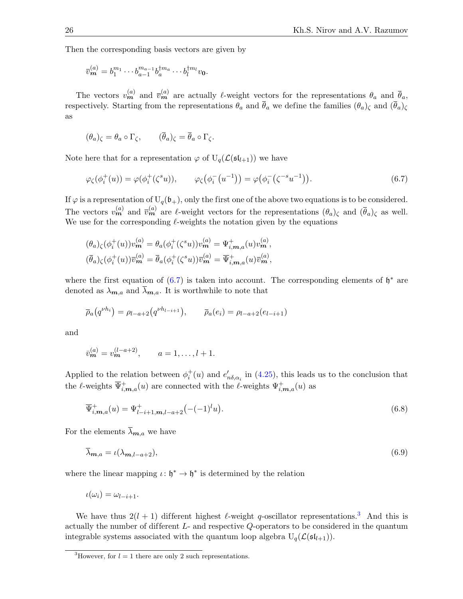Then the corresponding basis vectors are given by

$$
\overline{v}_{m}^{(a)} = b_{1}^{m_{1}} \cdots b_{a-1}^{m_{a-1}} b_{a}^{\dagger m_{a}} \cdots b_{l}^{\dagger m_{l}} v_{0}.
$$

The vectors  $v_m^{(a)}$  and  $\bar{v}_m^{(a)}$  are actually  $\ell$ -weight vectors for the representations  $\theta_a$  and  $\bar{\theta}_a$ , respectively. Starting from the representations  $\ddot{\theta}_a$  and  $\bar{\theta}_a$  we define the families  $(\theta_a)_\zeta$  and  $(\bar{\theta}_a)_\zeta$ as

$$
(\theta_a)_{\zeta} = \theta_a \circ \Gamma_{\zeta}, \qquad (\overline{\theta}_a)_{\zeta} = \overline{\theta}_a \circ \Gamma_{\zeta}.
$$

Note here that for a representation  $\varphi$  of  $U_q(\mathcal{L}(\mathfrak{sl}_{l+1}))$  we have

<span id="page-25-0"></span>
$$
\varphi_{\zeta}(\phi_i^+(u)) = \varphi(\phi_i^+(\zeta^s u)), \qquad \varphi_{\zeta}(\phi_i^-(u^{-1})) = \varphi(\phi_i^-(\zeta^{-s} u^{-1})). \tag{6.7}
$$

If  $\varphi$  is a representation of  $U_q(\mathfrak{b}_+)$ , only the first one of the above two equations is to be considered. The vectors  $v_m^{(a)}$  and  $\bar{v}_m^{(a)}$  are  $\ell$ -weight vectors for the representations  $(\theta_a)_{\zeta}$  and  $(\bar{\theta}_a)_{\zeta}$  as well. We use for the corresponding  $\ell$ -weights the notation given by the equations

$$
(\theta_a)_{\zeta}(\phi_i^+(u))v_m^{(a)} = \theta_a(\phi_i^+(\zeta^s u))v_m^{(a)} = \Psi_{i,m,a}^+(u)v_m^{(a)},
$$
  

$$
(\overline{\theta}_a)_{\zeta}(\phi_i^+(u))\overline{v}_m^{(a)} = \overline{\theta}_a(\phi_i^+(\zeta^s u))\overline{v}_m^{(a)} = \overline{\Psi}_{i,m,a}^+(u)\overline{v}_m^{(a)},
$$

where the first equation of  $(6.7)$  is taken into account. The corresponding elements of  $\mathfrak{h}^*$  are denoted as  $\lambda_{m,a}$  and  $\overline{\lambda}_{m,a}$ . It is worthwhile to note that

$$
\bar{\rho}_a(q^{\nu h_i}) = \rho_{l-a+2}(q^{\nu h_{l-i+1}}), \qquad \bar{\rho}_a(e_i) = \rho_{l-a+2}(e_{l-i+1})
$$

and

$$
\bar{v}_{m}^{(a)} = v_{m}^{(l-a+2)}, \qquad a = 1, \ldots, l+1.
$$

Applied to the relation between  $\phi_i^+(u)$  and  $e'_{n\delta,\alpha_i}$  in [\(4.25\)](#page-14-3), this leads us to the conclusion that the  $\ell$ -weights  $\overline{\Psi}_{i,m,a}^+(u)$  are connected with the  $\ell$ -weights  $\Psi_{i,m,a}^+(u)$  as

<span id="page-25-2"></span>
$$
\overline{\Psi}_{i,m,a}^{+}(u) = \Psi_{l-i+1,m,l-a+2}^{+} \left( -(-1)^{l} u \right).
$$
\n(6.8)

For the elements  $\bar{\lambda}_{m,a}$  we have

<span id="page-25-3"></span>
$$
\overline{\lambda}_{m,a} = \iota(\lambda_{m,l-a+2}),\tag{6.9}
$$

where the linear mapping  $\iota: \mathfrak{h}^* \to \mathfrak{h}^*$  is determined by the relation

$$
\iota(\omega_i)=\omega_{l-i+1}.
$$

We have thus  $2(l + 1)$  different highest  $\ell$ -weight q-oscillator representations.<sup>[3](#page-25-1)</sup> And this is actually the number of different  $L$ - and respective  $Q$ -operators to be considered in the quantum integrable systems associated with the quantum loop algebra  $U_q(\mathcal{L}(\mathfrak{sl}_{l+1}))$ .

<span id="page-25-1"></span><sup>&</sup>lt;sup>3</sup>However, for  $l = 1$  there are only 2 such representations.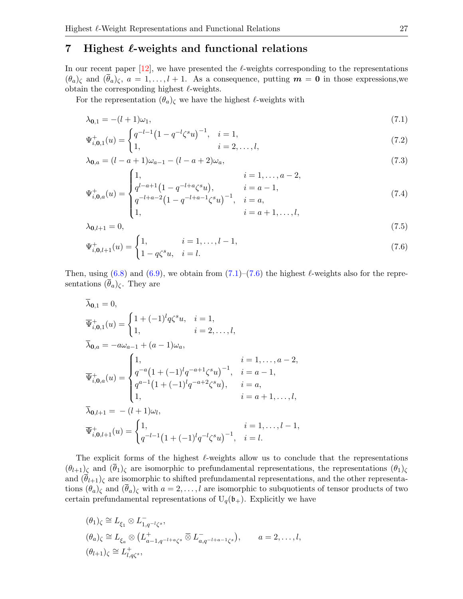## <span id="page-26-0"></span>7 Highest  $\ell$ -weights and functional relations

In our recent paper  $[12]$ , we have presented the  $\ell$ -weights corresponding to the representations  $(\theta_a)_\zeta$  and  $(\theta_a)_\zeta$ ,  $a = 1, \ldots, l + 1$ . As a consequence, putting  $\mathbf{m} = \mathbf{0}$  in those expressions, we obtain the corresponding highest  $\ell$ -weights.

For the representation  $(\theta_a)_{\zeta}$  we have the highest  $\ell$ -weights with

<span id="page-26-1"></span>
$$
\lambda_{0,1} = -(l+1)\omega_1,\tag{7.1}
$$

$$
\Psi_{i,0,1}^{+}(u) = \begin{cases} q^{-l-1} \left(1 - q^{-l} \zeta^s u\right)^{-1}, & i = 1, \\ 1, & i = 2, \dots, l, \end{cases}
$$
\n(7.2)

$$
\lambda_{0,a} = (l - a + 1)\omega_{a-1} - (l - a + 2)\omega_a,\tag{7.3}
$$

$$
\Psi_{i,0,a}^{+}(u) = \begin{cases}\n1, & i = 1, \dots, a-2, \\
q^{l-a+1} \left(1 - q^{-l+a} \zeta^s u\right), & i = a-1, \\
q^{-l+a-2} \left(1 - q^{-l+a-1} \zeta^s u\right)^{-1}, & i = a, \\
1, & i = a+1, \dots, l,\n\end{cases}
$$
\n(7.4)

$$
\lambda_{0,l+1} = 0,\tag{7.5}
$$

<span id="page-26-2"></span>
$$
\Psi_{i,0,l+1}^{+}(u) = \begin{cases} 1, & i = 1, \dots, l-1, \\ 1 - q\zeta^s u, & i = l. \end{cases}
$$
\n(7.6)

Then, using [\(6.8\)](#page-25-2) and [\(6.9\)](#page-25-3), we obtain from  $(7.1)$ – $(7.6)$  the highest  $\ell$ -weights also for the representations  $(\bar{\theta}_a)$ <sub> $\zeta$ </sub>. They are

$$
\bar{\lambda}_{0,1} = 0,
$$
\n
$$
\bar{\Psi}_{i,0,1}^{+}(u) = \begin{cases}\n1 + (-1)^{l} q \zeta^{s} u, & i = 1, \\
1, & i = 2, ..., l,\n\end{cases}
$$
\n
$$
\bar{\lambda}_{0,a} = -a\omega_{a-1} + (a-1)\omega_{a},
$$
\n
$$
\bar{\Psi}_{i,0,a}^{+}(u) = \begin{cases}\n1, & i = 1, ..., a-2, \\
q^{-a} (1 + (-1)^{l} q^{-a+1} \zeta^{s} u)^{-1}, & i = a-1, \\
q^{a-1} (1 + (-1)^{l} q^{-a+2} \zeta^{s} u), & i = a, \\
1, & i = a+1, ..., l,\n\end{cases}
$$
\n
$$
\bar{\lambda}_{0,l+1} = -(l+1)\omega_{l},
$$
\n
$$
\bar{\Psi}_{i,0,l+1}^{+}(u) = \begin{cases}\n1, & i = 1, ..., l-1, \\
q^{-l-1} (1 + (-1)^{l} q^{-l} \zeta^{s} u)^{-1}, & i = l.\n\end{cases}
$$

The explicit forms of the highest  $\ell$ -weights allow us to conclude that the representations  $(\theta_{l+1})_\zeta$  and  $(\bar{\theta}_1)_\zeta$  are isomorphic to prefundamental representations, the representations  $(\theta_1)_\zeta$ and  $(\bar{\theta}_{l+1})$ <sub> $\zeta$ </sub> are isomorphic to shifted prefundamental representations, and the other representations  $(\theta_a)_{\zeta}$  and  $(\theta_a)_{\zeta}$  with  $a = 2, \ldots, l$  are isomorphic to subquotients of tensor products of two certain prefundamental representations of  $U_q(\mathfrak{b}_+)$ . Explicitly we have

$$
(\theta_1)_{\zeta} \cong L_{\xi_1} \otimes L_{1,q^{-l}\zeta^s}^{-},
$$
  
\n
$$
(\theta_a)_{\zeta} \cong L_{\xi_a} \otimes (L_{a-1,q^{-l+a}\zeta^s}^+ \otimes L_{a,q^{-l+a-1}\zeta^s}^-), \qquad a = 2, \ldots, l,
$$
  
\n
$$
(\theta_{l+1})_{\zeta} \cong L_{l,q\zeta^s}^+,
$$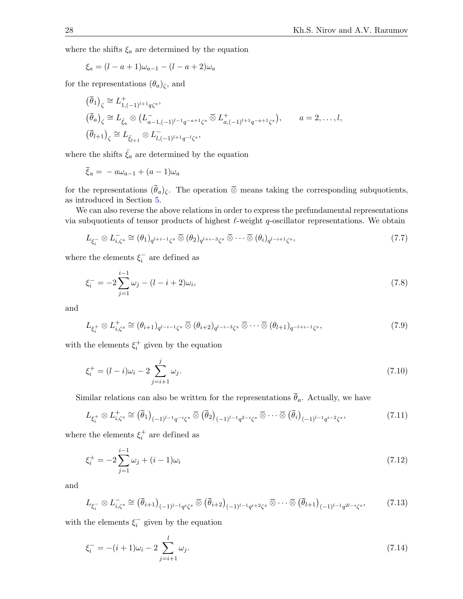where the shifts  $\xi_a$  are determined by the equation

$$
\xi_a = (l - a + 1)\omega_{a-1} - (l - a + 2)\omega_a
$$

for the representations  $(\theta_a)_{\zeta}$ , and

$$
\begin{aligned}\n\left(\overline{\theta}_{1}\right)_{\zeta} &\cong L_{1,(-1)^{l+1}q\zeta^{s}}^{+}, \\
\left(\overline{\theta}_{a}\right)_{\zeta} &\cong L_{\overline{\xi}_{a}} \otimes \left(L_{a-1,(-1)^{l-1}q^{-a+1}\zeta^{s}}^{-\overline{\otimes}} L_{a,(-1)^{l+1}q^{-a+1}\zeta^{s}}^{+}\right), \qquad a=2,\ldots,l, \\
\left(\overline{\theta}_{l+1}\right)_{\zeta} &\cong L_{\overline{\xi}_{l+1}} \otimes L_{l,(-1)^{l+1}q^{-l}\zeta^{s}}^{-\overline{\xi}},\n\end{aligned}
$$

where the shifts  $\bar{\xi}_a$  are determined by the equation

$$
\overline{\xi}_a = -a\omega_{a-1} + (a-1)\omega_a
$$

for the representations  $(\bar{\theta}_a)_\zeta$ . The operation ⊗ means taking the corresponding subquotients, as introduced in Section [5.](#page-17-0)

We can also reverse the above relations in order to express the prefundamental representations via subquotients of tensor products of highest  $\ell$ -weight q-oscillator representations. We obtain

<span id="page-27-0"></span>
$$
L_{\xi_i^-} \otimes L_{i,\zeta^s}^- \cong (\theta_1)_{q^{l+i-1}\zeta^s} \overline{\otimes} (\theta_2)_{q^{l+i-3}\zeta^s} \overline{\otimes} \cdots \overline{\otimes} (\theta_i)_{q^{l-i+1}\zeta^s},\tag{7.7}
$$

where the elements  $\xi_i^-$  are defined as

<span id="page-27-2"></span>
$$
\xi_i^- = -2 \sum_{j=1}^{i-1} \omega_j - (l - i + 2)\omega_i,\tag{7.8}
$$

and

<span id="page-27-4"></span>
$$
L_{\xi_i^+} \otimes L_{i,\zeta^s}^+ \cong (\theta_{i+1})_{q^{l-i-1}\zeta^s} \overline{\otimes} (\theta_{i+2})_{q^{l-i-3}\zeta^s} \overline{\otimes} \cdots \overline{\otimes} (\theta_{l+1})_{q^{-l+i-1}\zeta^s},
$$
\n(7.9)

with the elements  $\xi_i^+$  given by the equation

<span id="page-27-6"></span>
$$
\xi_i^+ = (l - i)\omega_i - 2\sum_{j=i+1}^j \omega_j.
$$
\n(7.10)

Similar relations can also be written for the representations  $\bar{\theta}_a$ . Actually, we have

<span id="page-27-5"></span>
$$
L_{\xi_i^+} \otimes L_{i,\zeta^s}^+ \cong (\overline{\theta}_1)_{(-1)^{l-1}q^{-i}\zeta^s} \overline{\otimes} (\overline{\theta}_2)_{(-1)^{l-1}q^{2-i}\zeta^s} \overline{\otimes} \cdots \overline{\otimes} (\overline{\theta}_i)_{(-1)^{l-1}q^{i-2}\zeta^s},\tag{7.11}
$$

where the elements  $\xi_i^+$  are defined as

<span id="page-27-7"></span>
$$
\xi_i^+ = -2\sum_{j=1}^{i-1} \omega_j + (i-1)\omega_i \tag{7.12}
$$

and

<span id="page-27-1"></span>
$$
L_{\xi_i^-} \otimes L_{i,\zeta^s}^- \cong (\overline{\theta}_{i+1})_{(-1)^{l-1}q^i\zeta^s} \overline{\otimes} (\overline{\theta}_{i+2})_{(-1)^{l-1}q^{i+2}\zeta^s} \overline{\otimes} \cdots \overline{\otimes} (\overline{\theta}_{l+1})_{(-1)^{l-1}q^{2l-i}\zeta^s},\tag{7.13}
$$

with the elements  $\xi_i^-$  given by the equation

<span id="page-27-3"></span>
$$
\xi_i^- = -(i+1)\omega_i - 2\sum_{j=i+1}^l \omega_j.
$$
\n(7.14)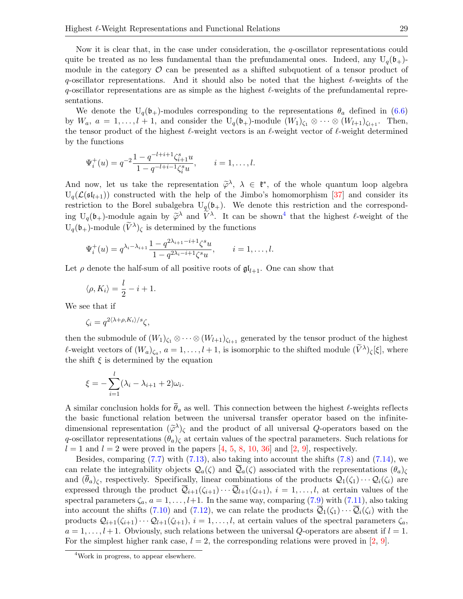Now it is clear that, in the case under consideration, the q-oscillator representations could quite be treated as no less fundamental than the prefundamental ones. Indeed, any  $U_q(\mathfrak{b}_+)$ module in the category  $\mathcal O$  can be presented as a shifted subquotient of a tensor product of q-oscillator representations. And it should also be noted that the highest  $\ell$ -weights of the q-oscillator representations are as simple as the highest  $\ell$ -weights of the prefundamental representations.

We denote the  $U_q(b_+)$ -modules corresponding to the representations  $\theta_a$  defined in [\(6.6\)](#page-24-3) by  $W_a$ ,  $a = 1, \ldots, l + 1$ , and consider the  $U_q(\mathfrak{b}_+)$ -module  $(W_1)_{\zeta_1} \otimes \cdots \otimes (W_{l+1})_{\zeta_{l+1}}$ . Then, the tensor product of the highest  $\ell$ -weight vectors is an  $\ell$ -weight vector of  $\ell$ -weight determined by the functions

$$
\Psi_i^+(u) = q^{-2} \frac{1 - q^{-l+i+1} \zeta_{i+1}^s u}{1 - q^{-l+i-1} \zeta_i^s u}, \qquad i = 1, \dots, l.
$$

And now, let us take the representation  $\tilde{\varphi}^{\lambda}$ ,  $\lambda \in \mathfrak{k}^*$ , of the whole quantum loop algebra<br>U.  $(\mathcal{C}(\varepsilon_{k-1}))$  constructed with the help of the limbo's homomorphism [27] and consider its  $U_q(\mathcal{L}(sl_{l+1}))$  constructed with the help of the Jimbo's homomorphism [\[37\]](#page-30-5) and consider its restriction to the Borel subalgebra  $U_q(\mathfrak{b}_+)$ . We denote this restriction and the corresponding  $U_q(b_+)$ -module again by  $\widetilde{\varphi}^{\lambda}$  and  $\widetilde{V}^{\lambda}$ . It can be shown<sup>[4](#page-28-0)</sup> that the highest  $\ell$ -weight of the  $U_q(\mathfrak{b}_+)$ -module  $(\widetilde{V}^{\lambda})_{\zeta}$  is determined by the functions

$$
\Psi_i^+(u) = q^{\lambda_i - \lambda_{i+1}} \frac{1 - q^{2\lambda_{i+1} - i + 1} \zeta^s u}{1 - q^{2\lambda_i - i + 1} \zeta^s u}, \qquad i = 1, \dots, l.
$$

Let  $\rho$  denote the half-sum of all positive roots of  $\mathfrak{gl}_{l+1}$ . One can show that

$$
\langle \rho, K_i \rangle = \frac{l}{2} - i + 1.
$$

We see that if

$$
\zeta_i = q^{2\langle \lambda + \rho, K_i \rangle / s} \zeta,
$$

then the submodule of  $(W_1)_{\zeta_1} \otimes \cdots \otimes (W_{l+1})_{\zeta_{l+1}}$  generated by the tensor product of the highest  $\ell$ -weight vectors of  $(W_a)_{\zeta_a}$ ,  $a = 1, \ldots, l + 1$ , is isomorphic to the shifted module  $(\widetilde{V}^{\lambda})_{\zeta}[\xi]$ , where the shift  $\xi$  is determined by the equation

$$
\xi = -\sum_{i=1}^{l} (\lambda_i - \lambda_{i+1} + 2)\omega_i.
$$

A similar conclusion holds for  $\theta_a$  as well. This connection between the highest  $\ell$ -weights reflects the basic functional relation between the universal transfer operator based on the infinitedimensional representation  $({\tilde{\varphi}}^{\lambda})_{\zeta}$  and the product of all universal Q-operators based on the a conjunctor connection  $(\theta)$ , at extern values of the apertual parameters. Such relations for q-oscillator representations  $(\theta_a)$ <sub>c</sub> at certain values of the spectral parameters. Such relations for  $l = 1$  and  $l = 2$  were proved in the papers [\[4,](#page-29-3) [5,](#page-29-4) [8,](#page-29-8) [10,](#page-29-7) [36\]](#page-30-3) and [\[2,](#page-29-5) [9\]](#page-29-6), respectively.

Besides, comparing [\(7.7\)](#page-27-0) with [\(7.13\)](#page-27-1), also taking into account the shifts [\(7.8\)](#page-27-2) and [\(7.14\)](#page-27-3), we can relate the integrability objects  $\mathcal{Q}_a(\zeta)$  and  $\overline{\mathcal{Q}}_a(\zeta)$  associated with the representations  $(\theta_a)_{\zeta}$ and  $(\bar{\theta}_a)_\zeta$ , respectively. Specifically, linear combinations of the products  $\mathcal{Q}_1(\zeta_1)\cdots\mathcal{Q}_i(\zeta_i)$  are expressed through the product  $\overline{Q}_{i+1}(\zeta_{i+1})\cdots\overline{Q}_{l+1}(\zeta_{l+1}), i = 1,\ldots,l$ , at certain values of the spectral parameters  $\zeta_a$ ,  $a = 1, \ldots, l+1$ . In the same way, comparing [\(7.9\)](#page-27-4) with [\(7.11\)](#page-27-5), also taking into account the shifts [\(7.10\)](#page-27-6) and [\(7.12\)](#page-27-7), we can relate the products  $\overline{Q}_1(\zeta_1)\cdots\overline{Q}_i(\zeta_i)$  with the products  $Q_{i+1}(\zeta_{i+1})\cdots Q_{l+1}(\zeta_{l+1}), i=1,\ldots,l$ , at certain values of the spectral parameters  $\zeta_a$ ,  $a = 1, \ldots, l + 1$ . Obviously, such relations between the universal Q-operators are absent if  $l = 1$ . For the simplest higher rank case,  $l = 2$ , the corresponding relations were proved in [\[2,](#page-29-5) [9\]](#page-29-6).

<span id="page-28-0"></span><sup>4</sup>Work in progress, to appear elsewhere.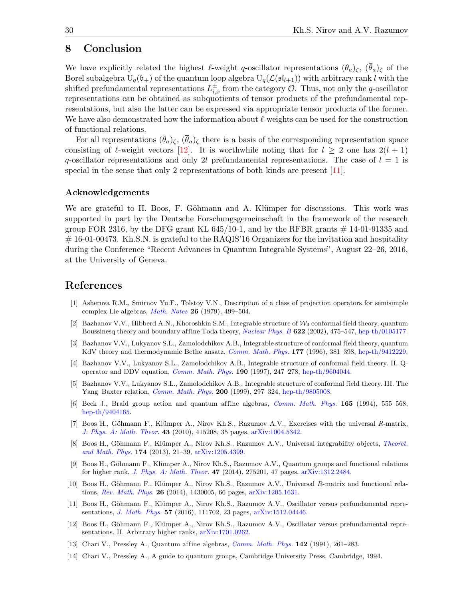### 8 Conclusion

We have explicitly related the highest  $\ell$ -weight q-oscillator representations  $(\theta_a)_{\zeta}$ ,  $(\bar{\theta}_a)_{\zeta}$  of the Borel subalgebra  $U_q(\mathfrak{b}_+)$  of the quantum loop algebra  $U_q(\mathcal{L}(\mathfrak{sl}_{l+1}))$  with arbitrary rank l with the shifted prefundamental representations  $L_{i,x}^{\pm}$  from the category  $\mathcal{O}$ . Thus, not only the q-oscillator representations can be obtained as subquotients of tensor products of the prefundamental representations, but also the latter can be expressed via appropriate tensor products of the former. We have also demonstrated how the information about  $\ell$ -weights can be used for the construction of functional relations.

For all representations  $(\theta_a)_{\zeta}$ ,  $(\overline{\theta}_a)_{\zeta}$  there is a basis of the corresponding representation space consisting of  $\ell$ -weight vectors [\[12\]](#page-29-10). It is worthwhile noting that for  $l \geq 2$  one has  $2(l + 1)$ q-oscillator representations and only 2l prefundamental representations. The case of  $l = 1$  is special in the sense that only 2 representations of both kinds are present [\[11\]](#page-29-9).

#### Acknowledgements

We are grateful to H. Boos, F. Göhmann and A. Klümper for discussions. This work was supported in part by the Deutsche Forschungsgemeinschaft in the framework of the research group FOR 2316, by the DFG grant KL  $645/10-1$ , and by the RFBR grants  $\#$  14-01-91335 and  $\#$  16-01-00473. Kh.S.N. is grateful to the RAQIS'16 Organizers for the invitation and hospitality during the Conference "Recent Advances in Quantum Integrable Systems", August 22–26, 2016, at the University of Geneva.

### References

- <span id="page-29-11"></span>[1] Asherova R.M., Smirnov Yu.F., Tolstoy V.N., Description of a class of projection operators for semisimple complex Lie algebras, [Math. Notes](https://doi.org/10.1007/BF01140268) 26 (1979), 499–504.
- <span id="page-29-5"></span>[2] Bazhanov V.V., Hibberd A.N., Khoroshkin S.M., Integrable structure of  $\mathcal{W}_3$  conformal field theory, quantum Boussinesq theory and boundary affine Toda theory, [Nuclear Phys. B](https://doi.org/10.1016/S0550-3213(01)00595-8) 622 (2002), 475–547, [hep-th/0105177.](https://arxiv.org/abs/hep-th/0105177)
- <span id="page-29-2"></span>[3] Bazhanov V.V., Lukyanov S.L., Zamolodchikov A.B., Integrable structure of conformal field theory, quantum KdV theory and thermodynamic Bethe ansatz, [Comm. Math. Phys.](https://doi.org/10.1007/BF02101898) 177 (1996), 381-398, [hep-th/9412229.](https://arxiv.org/abs/hep-th/9412229)
- <span id="page-29-3"></span>[4] Bazhanov V.V., Lukyanov S.L., Zamolodchikov A.B., Integrable structure of conformal field theory. II. Qoperator and DDV equation, [Comm. Math. Phys.](https://doi.org/10.1007/s002200050240) 190 (1997), 247–278, [hep-th/9604044.](https://arxiv.org/abs/hep-th/9604044)
- <span id="page-29-4"></span>[5] Bazhanov V.V., Lukyanov S.L., Zamolodchikov A.B., Integrable structure of conformal field theory. III. The Yang–Baxter relation, [Comm. Math. Phys.](https://doi.org/10.1007/s002200050531) 200 (1999), 297–324, [hep-th/9805008.](https://arxiv.org/abs/hep-th/9805008)
- <span id="page-29-12"></span>[6] Beck J., Braid group action and quantum affine algebras, *[Comm. Math. Phys.](https://doi.org/10.1007/BF02099423)* **165** (1994), 555–568, [hep-th/9404165.](https://arxiv.org/abs/hep-th/9404165)
- <span id="page-29-13"></span>[7] Boos H., Göhmann F., Klümper A., Nirov Kh.S., Razumov A.V., Exercises with the universal R-matrix, [J. Phys. A: Math. Theor.](https://doi.org/10.1088/1751-8113/43/41/415208) 43 (2010), 415208, 35 pages, [arXiv:1004.5342.](https://arxiv.org/abs/1004.5342)
- <span id="page-29-8"></span>[8] Boos H., Göhmann F., Klümper A., Nirov Kh.S., Razumov A.V., Universal integrability objects, [Theoret.](https://doi.org/10.1007/s11232-013-0002-8) [and Math. Phys.](https://doi.org/10.1007/s11232-013-0002-8) 174 (2013), 21–39, [arXiv:1205.4399.](https://arxiv.org/abs/1205.4399)
- <span id="page-29-6"></span>[9] Boos H., Göhmann F., Klümper A., Nirov Kh.S., Razumov A.V., Quantum groups and functional relations for higher rank, [J. Phys. A: Math. Theor.](https://doi.org/10.1088/1751-8113/47/27/275201) 47 (2014), 275201, 47 pages, [arXiv:1312.2484.](https://arxiv.org/abs/1312.2484)
- <span id="page-29-7"></span>[10] Boos H., Göhmann F., Klümper A., Nirov Kh.S., Razumov A.V., Universal R-matrix and functional relations, [Rev. Math. Phys.](https://doi.org/10.1142/S0129055X14300052) 26 (2014), 1430005, 66 pages, [arXiv:1205.1631.](https://arxiv.org/abs/1205.1631)
- <span id="page-29-9"></span>[11] Boos H., Göhmann F., Klümper A., Nirov Kh.S., Razumov A.V., Oscillator versus prefundamental representations, [J. Math. Phys.](https://doi.org/10.1063/1.4966925) 57 (2016), 111702, 23 pages, [arXiv:1512.04446.](https://arxiv.org/abs/1512.04446)
- <span id="page-29-10"></span>[12] Boos H., Göhmann F., Klümper A., Nirov Kh.S., Razumov A.V., Oscillator versus prefundamental representations. II. Arbitrary higher ranks, [arXiv:1701.0262.](https://arxiv.org/abs/1701.0262)
- <span id="page-29-0"></span>[13] Chari V., Pressley A., Quantum affine algebras, *[Comm. Math. Phys.](https://doi.org/10.1007/BF02102063)* **142** (1991), 261–283.
- <span id="page-29-1"></span>[14] Chari V., Pressley A., A guide to quantum groups, Cambridge University Press, Cambridge, 1994.